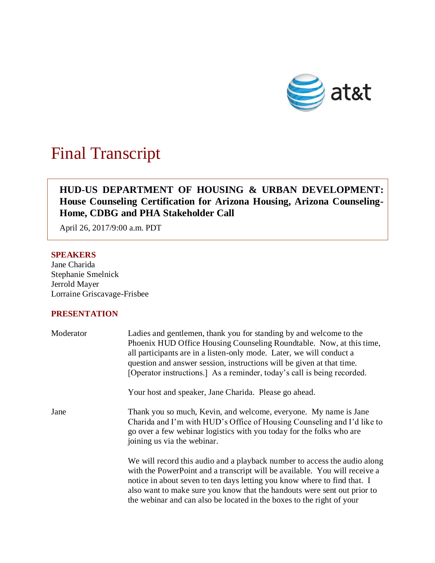

# Final Transcript

# **HUD-US DEPARTMENT OF HOUSING & URBAN DEVELOPMENT: House Counseling Certification for Arizona Housing, Arizona Counseling-Home, CDBG and PHA Stakeholder Call**

April 26, 2017/9:00 a.m. PDT

# **SPEAKERS**

Jane Charida Stephanie Smelnick Jerrold Mayer Lorraine Griscavage-Frisbee

# **PRESENTATION**

| Moderator | Ladies and gentlemen, thank you for standing by and welcome to the<br>Phoenix HUD Office Housing Counseling Roundtable. Now, at this time,<br>all participants are in a listen-only mode. Later, we will conduct a<br>question and answer session, instructions will be given at that time.<br>[Operator instructions.] As a reminder, today's call is being recorded.                   |
|-----------|------------------------------------------------------------------------------------------------------------------------------------------------------------------------------------------------------------------------------------------------------------------------------------------------------------------------------------------------------------------------------------------|
|           | Your host and speaker, Jane Charida. Please go ahead.                                                                                                                                                                                                                                                                                                                                    |
| Jane      | Thank you so much, Kevin, and welcome, everyone. My name is Jane<br>Charida and I'm with HUD's Office of Housing Counseling and I'd like to<br>go over a few webinar logistics with you today for the folks who are<br>joining us via the webinar.                                                                                                                                       |
|           | We will record this audio and a playback number to access the audio along<br>with the PowerPoint and a transcript will be available. You will receive a<br>notice in about seven to ten days letting you know where to find that. I<br>also want to make sure you know that the handouts were sent out prior to<br>the webinar and can also be located in the boxes to the right of your |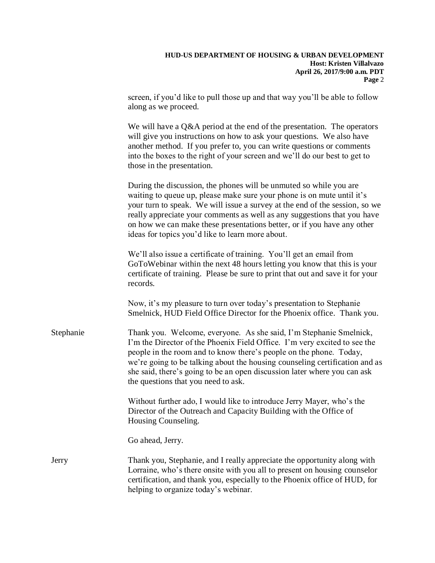| <b>HUD-US DEPARTMENT OF HOUSING &amp; URBAN DEVELOPMENT</b> |
|-------------------------------------------------------------|
| Host: Kristen Villalvazo                                    |
| April 26, 2017/9:00 a.m. PDT                                |
| Page 2                                                      |

screen, if you'd like to pull those up and that way you'll be able to follow along as we proceed.

We will have a  $Q\&A$  period at the end of the presentation. The operators will give you instructions on how to ask your questions. We also have another method. If you prefer to, you can write questions or comments into the boxes to the right of your screen and we'll do our best to get to those in the presentation.

During the discussion, the phones will be unmuted so while you are waiting to queue up, please make sure your phone is on mute until it's your turn to speak. We will issue a survey at the end of the session, so we really appreciate your comments as well as any suggestions that you have on how we can make these presentations better, or if you have any other ideas for topics you'd like to learn more about.

We'll also issue a certificate of training. You'll get an email from GoToWebinar within the next 48 hours letting you know that this is your certificate of training. Please be sure to print that out and save it for your records.

Now, it's my pleasure to turn over today's presentation to Stephanie Smelnick, HUD Field Office Director for the Phoenix office. Thank you.

Stephanie Thank you. Welcome, everyone. As she said, I'm Stephanie Smelnick, I'm the Director of the Phoenix Field Office. I'm very excited to see the people in the room and to know there's people on the phone. Today, we're going to be talking about the housing counseling certification and as she said, there's going to be an open discussion later where you can ask the questions that you need to ask.

> Without further ado, I would like to introduce Jerry Mayer, who's the Director of the Outreach and Capacity Building with the Office of Housing Counseling.

Go ahead, Jerry.

Jerry Thank you, Stephanie, and I really appreciate the opportunity along with Lorraine, who's there onsite with you all to present on housing counselor certification, and thank you, especially to the Phoenix office of HUD, for helping to organize today's webinar.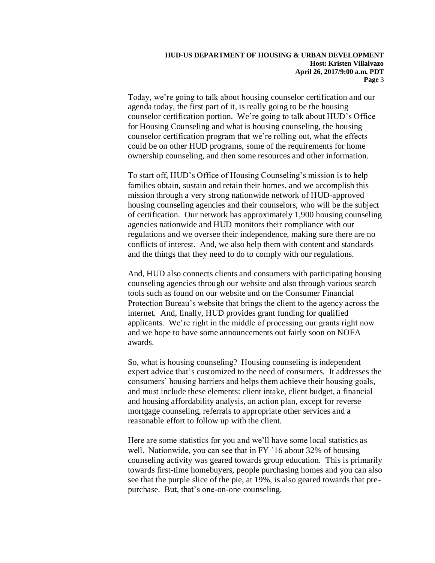Today, we're going to talk about housing counselor certification and our agenda today, the first part of it, is really going to be the housing counselor certification portion. We're going to talk about HUD's Office for Housing Counseling and what is housing counseling, the housing counselor certification program that we're rolling out, what the effects could be on other HUD programs, some of the requirements for home ownership counseling, and then some resources and other information.

To start off, HUD's Office of Housing Counseling's mission is to help families obtain, sustain and retain their homes, and we accomplish this mission through a very strong nationwide network of HUD-approved housing counseling agencies and their counselors, who will be the subject of certification. Our network has approximately 1,900 housing counseling agencies nationwide and HUD monitors their compliance with our regulations and we oversee their independence, making sure there are no conflicts of interest. And, we also help them with content and standards and the things that they need to do to comply with our regulations.

And, HUD also connects clients and consumers with participating housing counseling agencies through our website and also through various search tools such as found on our website and on the Consumer Financial Protection Bureau's website that brings the client to the agency across the internet. And, finally, HUD provides grant funding for qualified applicants. We're right in the middle of processing our grants right now and we hope to have some announcements out fairly soon on NOFA awards.

So, what is housing counseling? Housing counseling is independent expert advice that's customized to the need of consumers. It addresses the consumers' housing barriers and helps them achieve their housing goals, and must include these elements: client intake, client budget, a financial and housing affordability analysis, an action plan, except for reverse mortgage counseling, referrals to appropriate other services and a reasonable effort to follow up with the client.

Here are some statistics for you and we'll have some local statistics as well. Nationwide, you can see that in FY '16 about 32% of housing counseling activity was geared towards group education. This is primarily towards first-time homebuyers, people purchasing homes and you can also see that the purple slice of the pie, at 19%, is also geared towards that prepurchase. But, that's one-on-one counseling.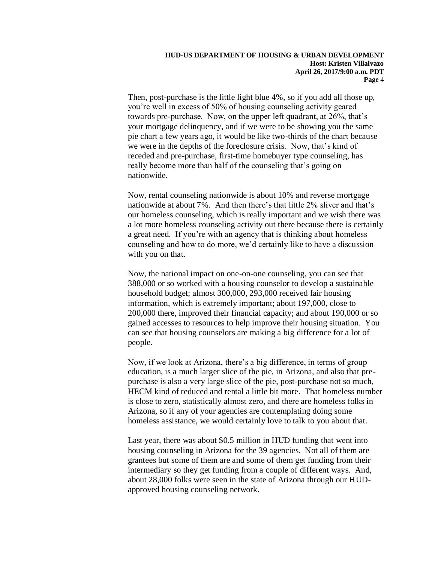Then, post-purchase is the little light blue 4%, so if you add all those up, you're well in excess of 50% of housing counseling activity geared towards pre-purchase. Now, on the upper left quadrant, at 26%, that's your mortgage delinquency, and if we were to be showing you the same pie chart a few years ago, it would be like two-thirds of the chart because we were in the depths of the foreclosure crisis. Now, that's kind of receded and pre-purchase, first-time homebuyer type counseling, has really become more than half of the counseling that's going on nationwide.

Now, rental counseling nationwide is about 10% and reverse mortgage nationwide at about 7%. And then there's that little 2% sliver and that's our homeless counseling, which is really important and we wish there was a lot more homeless counseling activity out there because there is certainly a great need. If you're with an agency that is thinking about homeless counseling and how to do more, we'd certainly like to have a discussion with you on that.

Now, the national impact on one-on-one counseling, you can see that 388,000 or so worked with a housing counselor to develop a sustainable household budget; almost 300,000, 293,000 received fair housing information, which is extremely important; about 197,000, close to 200,000 there, improved their financial capacity; and about 190,000 or so gained accesses to resources to help improve their housing situation. You can see that housing counselors are making a big difference for a lot of people.

Now, if we look at Arizona, there's a big difference, in terms of group education, is a much larger slice of the pie, in Arizona, and also that prepurchase is also a very large slice of the pie, post-purchase not so much, HECM kind of reduced and rental a little bit more. That homeless number is close to zero, statistically almost zero, and there are homeless folks in Arizona, so if any of your agencies are contemplating doing some homeless assistance, we would certainly love to talk to you about that.

Last year, there was about \$0.5 million in HUD funding that went into housing counseling in Arizona for the 39 agencies. Not all of them are grantees but some of them are and some of them get funding from their intermediary so they get funding from a couple of different ways. And, about 28,000 folks were seen in the state of Arizona through our HUDapproved housing counseling network.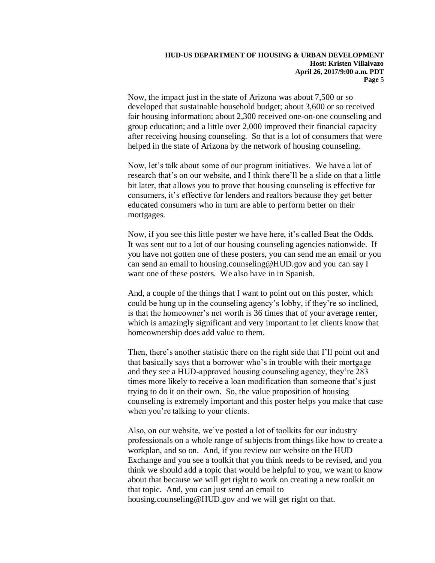Now, the impact just in the state of Arizona was about 7,500 or so developed that sustainable household budget; about 3,600 or so received fair housing information; about 2,300 received one-on-one counseling and group education; and a little over 2,000 improved their financial capacity after receiving housing counseling. So that is a lot of consumers that were helped in the state of Arizona by the network of housing counseling.

Now, let's talk about some of our program initiatives. We have a lot of research that's on our website, and I think there'll be a slide on that a little bit later, that allows you to prove that housing counseling is effective for consumers, it's effective for lenders and realtors because they get better educated consumers who in turn are able to perform better on their mortgages.

Now, if you see this little poster we have here, it's called Beat the Odds. It was sent out to a lot of our housing counseling agencies nationwide. If you have not gotten one of these posters, you can send me an email or you can send an email to housing.counseling@HUD.gov and you can say I want one of these posters. We also have in in Spanish.

And, a couple of the things that I want to point out on this poster, which could be hung up in the counseling agency's lobby, if they're so inclined, is that the homeowner's net worth is 36 times that of your average renter, which is amazingly significant and very important to let clients know that homeownership does add value to them.

Then, there's another statistic there on the right side that I'll point out and that basically says that a borrower who's in trouble with their mortgage and they see a HUD-approved housing counseling agency, they're 283 times more likely to receive a loan modification than someone that's just trying to do it on their own. So, the value proposition of housing counseling is extremely important and this poster helps you make that case when you're talking to your clients.

Also, on our website, we've posted a lot of toolkits for our industry professionals on a whole range of subjects from things like how to create a workplan, and so on. And, if you review our website on the HUD Exchange and you see a toolkit that you think needs to be revised, and you think we should add a topic that would be helpful to you, we want to know about that because we will get right to work on creating a new toolkit on that topic. And, you can just send an email to housing.counseling@HUD.gov and we will get right on that.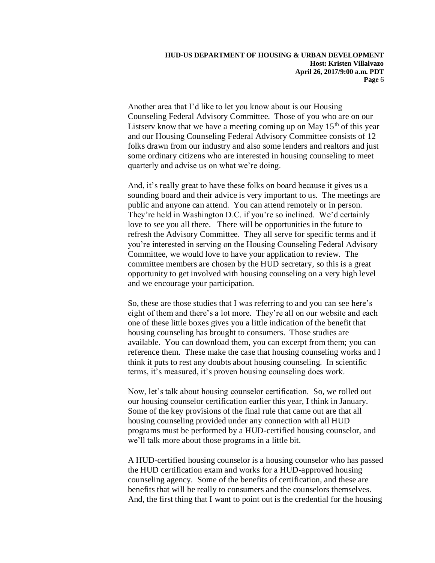Another area that I'd like to let you know about is our Housing Counseling Federal Advisory Committee. Those of you who are on our Listserv know that we have a meeting coming up on May  $15<sup>th</sup>$  of this year and our Housing Counseling Federal Advisory Committee consists of 12 folks drawn from our industry and also some lenders and realtors and just some ordinary citizens who are interested in housing counseling to meet quarterly and advise us on what we're doing.

And, it's really great to have these folks on board because it gives us a sounding board and their advice is very important to us. The meetings are public and anyone can attend. You can attend remotely or in person. They're held in Washington D.C. if you're so inclined. We'd certainly love to see you all there. There will be opportunities in the future to refresh the Advisory Committee. They all serve for specific terms and if you're interested in serving on the Housing Counseling Federal Advisory Committee, we would love to have your application to review. The committee members are chosen by the HUD secretary, so this is a great opportunity to get involved with housing counseling on a very high level and we encourage your participation.

So, these are those studies that I was referring to and you can see here's eight of them and there's a lot more. They're all on our website and each one of these little boxes gives you a little indication of the benefit that housing counseling has brought to consumers. Those studies are available. You can download them, you can excerpt from them; you can reference them. These make the case that housing counseling works and I think it puts to rest any doubts about housing counseling. In scientific terms, it's measured, it's proven housing counseling does work.

Now, let's talk about housing counselor certification. So, we rolled out our housing counselor certification earlier this year, I think in January. Some of the key provisions of the final rule that came out are that all housing counseling provided under any connection with all HUD programs must be performed by a HUD-certified housing counselor, and we'll talk more about those programs in a little bit.

A HUD-certified housing counselor is a housing counselor who has passed the HUD certification exam and works for a HUD-approved housing counseling agency. Some of the benefits of certification, and these are benefits that will be really to consumers and the counselors themselves. And, the first thing that I want to point out is the credential for the housing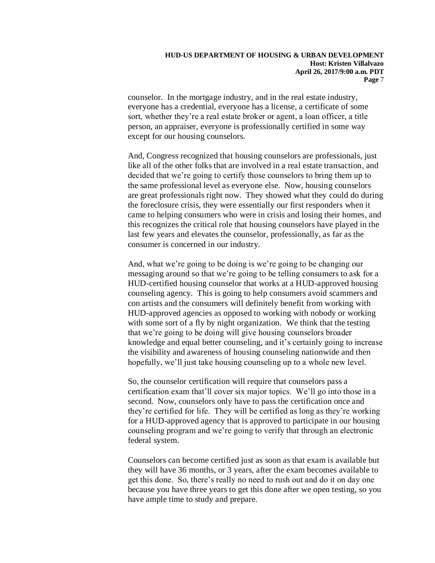counselor. In the mortgage industry, and in the real estate industry, everyone has a credential, everyone has a license, a certificate of some sort, whether they're a real estate broker or agent, a loan officer, a title person, an appraiser, everyone is professionally certified in some way except for our housing counselors.

And, Congress recognized that housing counselors are professionals, just like all of the other folks that are involved in a real estate transaction, and decided that we're going to certify those counselors to bring them up to the same professional level as everyone else. Now, housing counselors are great professionals right now. They showed what they could do during the foreclosure crisis, they were essentially our first responders when it came to helping consumers who were in crisis and losing their homes, and this recognizes the critical role that housing counselors have played in the last few years and elevates the counselor, professionally, as far as the consumer is concerned in our industry.

And, what we're going to be doing is we're going to be changing our messaging around so that we're going to be telling consumers to ask for a HUD-certified housing counselor that works at a HUD-approved housing counseling agency. This is going to help consumers avoid scammers and con artists and the consumers will definitely benefit from working with HUD-approved agencies as opposed to working with nobody or working with some sort of a fly by night organization. We think that the testing that we're going to be doing will give housing counselors broader knowledge and equal better counseling, and it's certainly going to increase the visibility and awareness of housing counseling nationwide and then hopefully, we'll just take housing counseling up to a whole new level.

So, the counselor certification will require that counselors pass a certification exam that'll cover six major topics. We'll go into those in a second. Now, counselors only have to pass the certification once and they're certified for life. They will be certified as long as they're working for a HUD-approved agency that is approved to participate in our housing counseling program and we're going to verify that through an electronic federal system.

Counselors can become certified just as soon as that exam is available but they will have 36 months, or 3 years, after the exam becomes available to get this done. So, there's really no need to rush out and do it on day one because you have three years to get this done after we open testing, so you have ample time to study and prepare.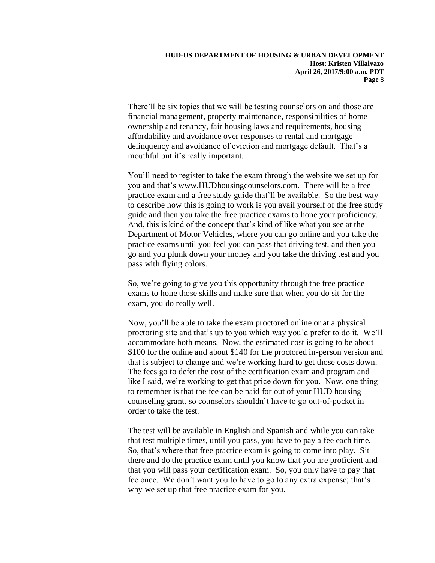There'll be six topics that we will be testing counselors on and those are financial management, property maintenance, responsibilities of home ownership and tenancy, fair housing laws and requirements, housing affordability and avoidance over responses to rental and mortgage delinquency and avoidance of eviction and mortgage default. That's a mouthful but it's really important.

You'll need to register to take the exam through the website we set up for you and that's www.HUDhousingcounselors.com. There will be a free practice exam and a free study guide that'll be available. So the best way to describe how this is going to work is you avail yourself of the free study guide and then you take the free practice exams to hone your proficiency. And, this is kind of the concept that's kind of like what you see at the Department of Motor Vehicles, where you can go online and you take the practice exams until you feel you can pass that driving test, and then you go and you plunk down your money and you take the driving test and you pass with flying colors.

So, we're going to give you this opportunity through the free practice exams to hone those skills and make sure that when you do sit for the exam, you do really well.

Now, you'll be able to take the exam proctored online or at a physical proctoring site and that's up to you which way you'd prefer to do it. We'll accommodate both means. Now, the estimated cost is going to be about \$100 for the online and about \$140 for the proctored in-person version and that is subject to change and we're working hard to get those costs down. The fees go to defer the cost of the certification exam and program and like I said, we're working to get that price down for you. Now, one thing to remember is that the fee can be paid for out of your HUD housing counseling grant, so counselors shouldn't have to go out-of-pocket in order to take the test.

The test will be available in English and Spanish and while you can take that test multiple times, until you pass, you have to pay a fee each time. So, that's where that free practice exam is going to come into play. Sit there and do the practice exam until you know that you are proficient and that you will pass your certification exam. So, you only have to pay that fee once. We don't want you to have to go to any extra expense; that's why we set up that free practice exam for you.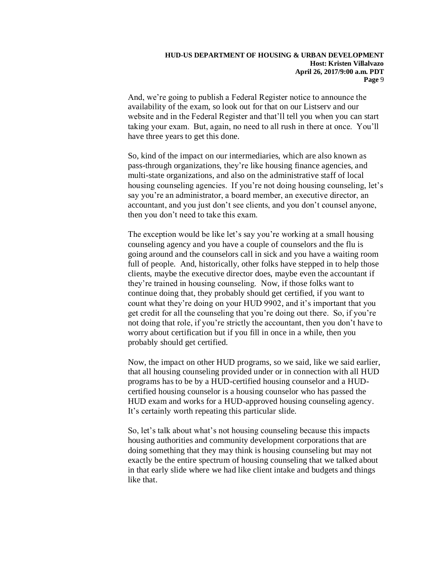And, we're going to publish a Federal Register notice to announce the availability of the exam, so look out for that on our Listserv and our website and in the Federal Register and that'll tell you when you can start taking your exam. But, again, no need to all rush in there at once. You'll have three years to get this done.

So, kind of the impact on our intermediaries, which are also known as pass-through organizations, they're like housing finance agencies, and multi-state organizations, and also on the administrative staff of local housing counseling agencies. If you're not doing housing counseling, let's say you're an administrator, a board member, an executive director, an accountant, and you just don't see clients, and you don't counsel anyone, then you don't need to take this exam.

The exception would be like let's say you're working at a small housing counseling agency and you have a couple of counselors and the flu is going around and the counselors call in sick and you have a waiting room full of people. And, historically, other folks have stepped in to help those clients, maybe the executive director does, maybe even the accountant if they're trained in housing counseling. Now, if those folks want to continue doing that, they probably should get certified, if you want to count what they're doing on your HUD 9902, and it's important that you get credit for all the counseling that you're doing out there. So, if you're not doing that role, if you're strictly the accountant, then you don't have to worry about certification but if you fill in once in a while, then you probably should get certified.

Now, the impact on other HUD programs, so we said, like we said earlier, that all housing counseling provided under or in connection with all HUD programs has to be by a HUD-certified housing counselor and a HUDcertified housing counselor is a housing counselor who has passed the HUD exam and works for a HUD-approved housing counseling agency. It's certainly worth repeating this particular slide.

So, let's talk about what's not housing counseling because this impacts housing authorities and community development corporations that are doing something that they may think is housing counseling but may not exactly be the entire spectrum of housing counseling that we talked about in that early slide where we had like client intake and budgets and things like that.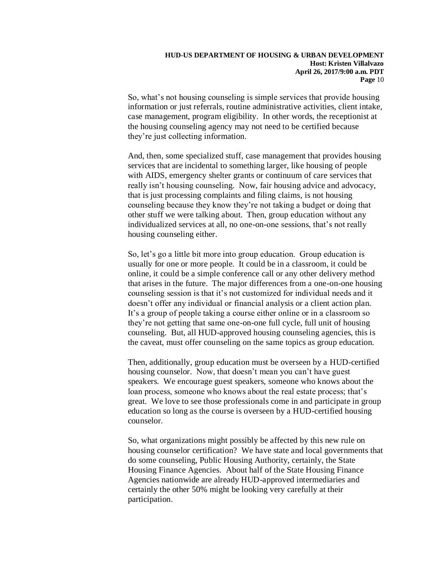So, what's not housing counseling is simple services that provide housing information or just referrals, routine administrative activities, client intake, case management, program eligibility. In other words, the receptionist at the housing counseling agency may not need to be certified because they're just collecting information.

And, then, some specialized stuff, case management that provides housing services that are incidental to something larger, like housing of people with AIDS, emergency shelter grants or continuum of care services that really isn't housing counseling. Now, fair housing advice and advocacy, that is just processing complaints and filing claims, is not housing counseling because they know they're not taking a budget or doing that other stuff we were talking about. Then, group education without any individualized services at all, no one-on-one sessions, that's not really housing counseling either.

So, let's go a little bit more into group education. Group education is usually for one or more people. It could be in a classroom, it could be online, it could be a simple conference call or any other delivery method that arises in the future. The major differences from a one-on-one housing counseling session is that it's not customized for individual needs and it doesn't offer any individual or financial analysis or a client action plan. It's a group of people taking a course either online or in a classroom so they're not getting that same one-on-one full cycle, full unit of housing counseling. But, all HUD-approved housing counseling agencies, this is the caveat, must offer counseling on the same topics as group education.

Then, additionally, group education must be overseen by a HUD-certified housing counselor. Now, that doesn't mean you can't have guest speakers. We encourage guest speakers, someone who knows about the loan process, someone who knows about the real estate process; that's great. We love to see those professionals come in and participate in group education so long as the course is overseen by a HUD-certified housing counselor.

So, what organizations might possibly be affected by this new rule on housing counselor certification? We have state and local governments that do some counseling, Public Housing Authority, certainly, the State Housing Finance Agencies. About half of the State Housing Finance Agencies nationwide are already HUD-approved intermediaries and certainly the other 50% might be looking very carefully at their participation.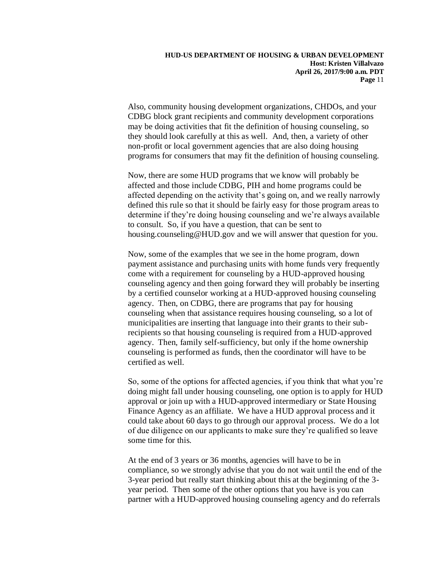Also, community housing development organizations, CHDOs, and your CDBG block grant recipients and community development corporations may be doing activities that fit the definition of housing counseling, so they should look carefully at this as well. And, then, a variety of other non-profit or local government agencies that are also doing housing programs for consumers that may fit the definition of housing counseling.

Now, there are some HUD programs that we know will probably be affected and those include CDBG, PIH and home programs could be affected depending on the activity that's going on, and we really narrowly defined this rule so that it should be fairly easy for those program areas to determine if they're doing housing counseling and we're always available to consult. So, if you have a question, that can be sent to housing.counseling@HUD.gov and we will answer that question for you.

Now, some of the examples that we see in the home program, down payment assistance and purchasing units with home funds very frequently come with a requirement for counseling by a HUD-approved housing counseling agency and then going forward they will probably be inserting by a certified counselor working at a HUD-approved housing counseling agency. Then, on CDBG, there are programs that pay for housing counseling when that assistance requires housing counseling, so a lot of municipalities are inserting that language into their grants to their subrecipients so that housing counseling is required from a HUD-approved agency. Then, family self-sufficiency, but only if the home ownership counseling is performed as funds, then the coordinator will have to be certified as well.

So, some of the options for affected agencies, if you think that what you're doing might fall under housing counseling, one option is to apply for HUD approval or join up with a HUD-approved intermediary or State Housing Finance Agency as an affiliate. We have a HUD approval process and it could take about 60 days to go through our approval process. We do a lot of due diligence on our applicants to make sure they're qualified so leave some time for this.

At the end of 3 years or 36 months, agencies will have to be in compliance, so we strongly advise that you do not wait until the end of the 3-year period but really start thinking about this at the beginning of the 3 year period. Then some of the other options that you have is you can partner with a HUD-approved housing counseling agency and do referrals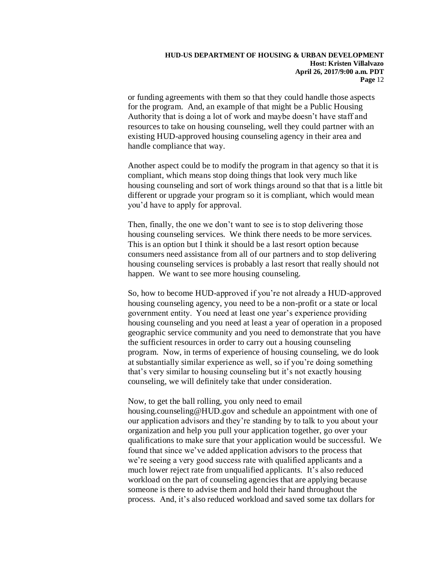or funding agreements with them so that they could handle those aspects for the program. And, an example of that might be a Public Housing Authority that is doing a lot of work and maybe doesn't have staff and resources to take on housing counseling, well they could partner with an existing HUD-approved housing counseling agency in their area and handle compliance that way.

Another aspect could be to modify the program in that agency so that it is compliant, which means stop doing things that look very much like housing counseling and sort of work things around so that that is a little bit different or upgrade your program so it is compliant, which would mean you'd have to apply for approval.

Then, finally, the one we don't want to see is to stop delivering those housing counseling services. We think there needs to be more services. This is an option but I think it should be a last resort option because consumers need assistance from all of our partners and to stop delivering housing counseling services is probably a last resort that really should not happen. We want to see more housing counseling.

So, how to become HUD-approved if you're not already a HUD-approved housing counseling agency, you need to be a non-profit or a state or local government entity. You need at least one year's experience providing housing counseling and you need at least a year of operation in a proposed geographic service community and you need to demonstrate that you have the sufficient resources in order to carry out a housing counseling program. Now, in terms of experience of housing counseling, we do look at substantially similar experience as well, so if you're doing something that's very similar to housing counseling but it's not exactly housing counseling, we will definitely take that under consideration.

Now, to get the ball rolling, you only need to email housing.counseling@HUD.gov and schedule an appointment with one of our application advisors and they're standing by to talk to you about your organization and help you pull your application together, go over your qualifications to make sure that your application would be successful. We found that since we've added application advisors to the process that we're seeing a very good success rate with qualified applicants and a much lower reject rate from unqualified applicants. It's also reduced workload on the part of counseling agencies that are applying because someone is there to advise them and hold their hand throughout the process. And, it's also reduced workload and saved some tax dollars for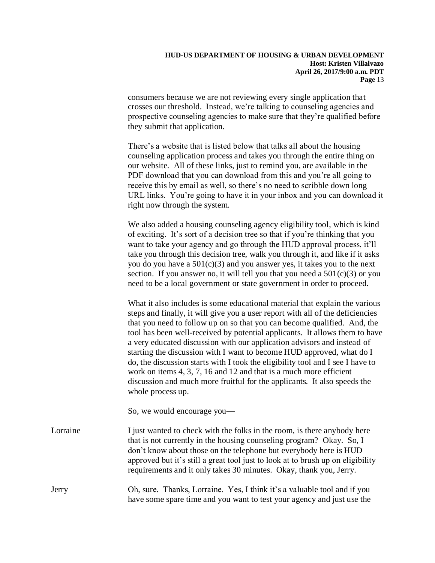consumers because we are not reviewing every single application that crosses our threshold. Instead, we're talking to counseling agencies and prospective counseling agencies to make sure that they're qualified before they submit that application.

There's a website that is listed below that talks all about the housing counseling application process and takes you through the entire thing on our website. All of these links, just to remind you, are available in the PDF download that you can download from this and you're all going to receive this by email as well, so there's no need to scribble down long URL links. You're going to have it in your inbox and you can download it right now through the system.

We also added a housing counseling agency eligibility tool, which is kind of exciting. It's sort of a decision tree so that if you're thinking that you want to take your agency and go through the HUD approval process, it'll take you through this decision tree, walk you through it, and like if it asks you do you have a  $501(c)(3)$  and you answer yes, it takes you to the next section. If you answer no, it will tell you that you need a  $501(c)(3)$  or you need to be a local government or state government in order to proceed.

What it also includes is some educational material that explain the various steps and finally, it will give you a user report with all of the deficiencies that you need to follow up on so that you can become qualified. And, the tool has been well-received by potential applicants. It allows them to have a very educated discussion with our application advisors and instead of starting the discussion with I want to become HUD approved, what do I do, the discussion starts with I took the eligibility tool and I see I have to work on items 4, 3, 7, 16 and 12 and that is a much more efficient discussion and much more fruitful for the applicants. It also speeds the whole process up.

So, we would encourage you— Lorraine I just wanted to check with the folks in the room, is there any body here that is not currently in the housing counseling program? Okay. So, I don't know about those on the telephone but everybody here is HUD approved but it's still a great tool just to look at to brush up on eligibility requirements and it only takes 30 minutes. Okay, thank you, Jerry.

Jerry Oh, sure. Thanks, Lorraine. Yes, I think it's a valuable tool and if you have some spare time and you want to test your agency and just use the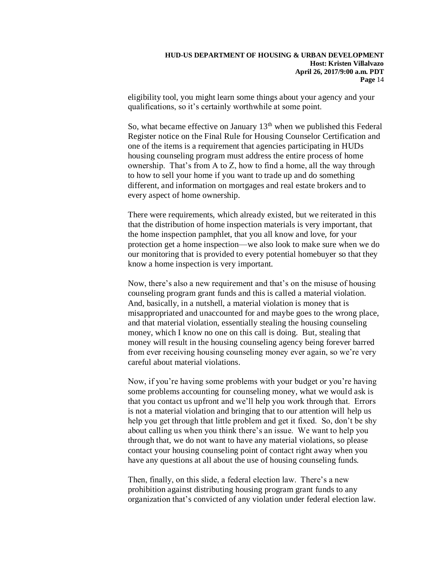eligibility tool, you might learn some things about your agency and your qualifications, so it's certainly worthwhile at some point.

So, what became effective on January  $13<sup>th</sup>$  when we published this Federal Register notice on the Final Rule for Housing Counselor Certification and one of the items is a requirement that agencies participating in HUDs housing counseling program must address the entire process of home ownership. That's from A to Z, how to find a home, all the way through to how to sell your home if you want to trade up and do something different, and information on mortgages and real estate brokers and to every aspect of home ownership.

There were requirements, which already existed, but we reiterated in this that the distribution of home inspection materials is very important, that the home inspection pamphlet, that you all know and love, for your protection get a home inspection—we also look to make sure when we do our monitoring that is provided to every potential homebuyer so that they know a home inspection is very important.

Now, there's also a new requirement and that's on the misuse of housing counseling program grant funds and this is called a material violation. And, basically, in a nutshell, a material violation is money that is misappropriated and unaccounted for and maybe goes to the wrong place, and that material violation, essentially stealing the housing counseling money, which I know no one on this call is doing. But, stealing that money will result in the housing counseling agency being forever barred from ever receiving housing counseling money ever again, so we're very careful about material violations.

Now, if you're having some problems with your budget or you're having some problems accounting for counseling money, what we would ask is that you contact us upfront and we'll help you work through that. Errors is not a material violation and bringing that to our attention will help us help you get through that little problem and get it fixed. So, don't be shy about calling us when you think there's an issue. We want to help you through that, we do not want to have any material violations, so please contact your housing counseling point of contact right away when you have any questions at all about the use of housing counseling funds.

Then, finally, on this slide, a federal election law. There's a new prohibition against distributing housing program grant funds to any organization that's convicted of any violation under federal election law.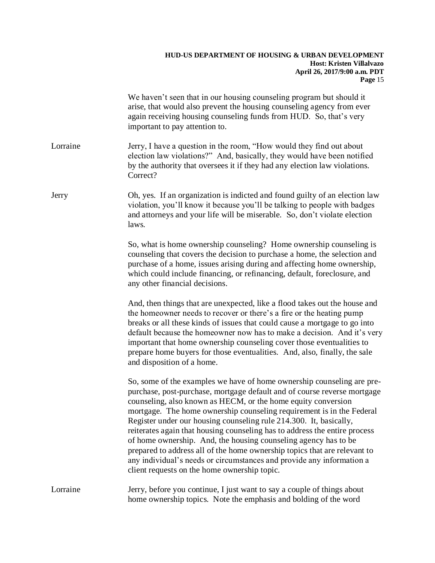|          | We haven't seen that in our housing counseling program but should it<br>arise, that would also prevent the housing counseling agency from ever<br>again receiving housing counseling funds from HUD. So, that's very<br>important to pay attention to.                                                                                                                                                                                                                                                                                                                                                                                                                                                                    |
|----------|---------------------------------------------------------------------------------------------------------------------------------------------------------------------------------------------------------------------------------------------------------------------------------------------------------------------------------------------------------------------------------------------------------------------------------------------------------------------------------------------------------------------------------------------------------------------------------------------------------------------------------------------------------------------------------------------------------------------------|
| Lorraine | Jerry, I have a question in the room, "How would they find out about<br>election law violations?" And, basically, they would have been notified<br>by the authority that oversees it if they had any election law violations.<br>Correct?                                                                                                                                                                                                                                                                                                                                                                                                                                                                                 |
| Jerry    | Oh, yes. If an organization is indicted and found guilty of an election law<br>violation, you'll know it because you'll be talking to people with badges<br>and attorneys and your life will be miserable. So, don't violate election<br>laws.                                                                                                                                                                                                                                                                                                                                                                                                                                                                            |
|          | So, what is home ownership counseling? Home ownership counseling is<br>counseling that covers the decision to purchase a home, the selection and<br>purchase of a home, issues arising during and affecting home ownership,<br>which could include financing, or refinancing, default, foreclosure, and<br>any other financial decisions.                                                                                                                                                                                                                                                                                                                                                                                 |
|          | And, then things that are unexpected, like a flood takes out the house and<br>the homeowner needs to recover or there's a fire or the heating pump<br>breaks or all these kinds of issues that could cause a mortgage to go into<br>default because the homeowner now has to make a decision. And it's very<br>important that home ownership counseling cover those eventualities to<br>prepare home buyers for those eventualities. And, also, finally, the sale<br>and disposition of a home.                                                                                                                                                                                                                           |
|          | So, some of the examples we have of home ownership counseling are pre-<br>purchase, post-purchase, mortgage default and of course reverse mortgage<br>counseling, also known as HECM, or the home equity conversion<br>mortgage. The home ownership counseling requirement is in the Federal<br>Register under our housing counseling rule 214.300. It, basically,<br>reiterates again that housing counseling has to address the entire process<br>of home ownership. And, the housing counseling agency has to be<br>prepared to address all of the home ownership topics that are relevant to<br>any individual's needs or circumstances and provide any information a<br>client requests on the home ownership topic. |
| Lorraine | Jerry, before you continue, I just want to say a couple of things about<br>home ownership topics. Note the emphasis and bolding of the word                                                                                                                                                                                                                                                                                                                                                                                                                                                                                                                                                                               |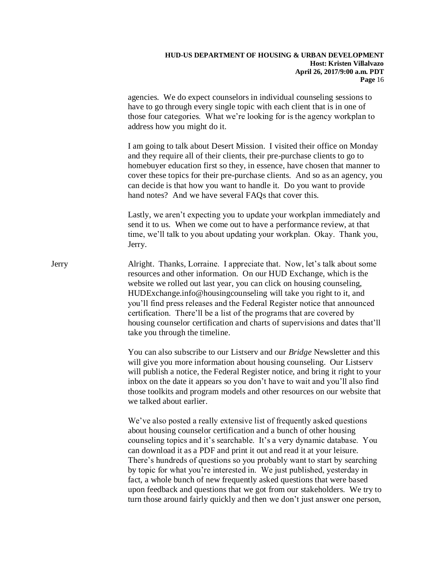agencies. We do expect counselors in individual counseling sessions to have to go through every single topic with each client that is in one of those four categories. What we're looking for is the agency workplan to address how you might do it.

I am going to talk about Desert Mission. I visited their office on Monday and they require all of their clients, their pre-purchase clients to go to homebuyer education first so they, in essence, have chosen that manner to cover these topics for their pre-purchase clients. And so as an agency, you can decide is that how you want to handle it. Do you want to provide hand notes? And we have several FAQs that cover this.

Lastly, we aren't expecting you to update your workplan immediately and send it to us. When we come out to have a performance review, at that time, we'll talk to you about updating your workplan. Okay. Thank you, Jerry.

Jerry Alright. Thanks, Lorraine. I appreciate that. Now, let's talk about some resources and other information. On our HUD Exchange, which is the website we rolled out last year, you can click on housing counseling, HUDExchange.info@housingcounseling will take you right to it, and you'll find press releases and the Federal Register notice that announced certification. There'll be a list of the programs that are covered by housing counselor certification and charts of supervisions and dates that'll take you through the timeline.

> You can also subscribe to our Listserv and our *Bridge* Newsletter and this will give you more information about housing counseling. Our Listserv will publish a notice, the Federal Register notice, and bring it right to your inbox on the date it appears so you don't have to wait and you'll also find those toolkits and program models and other resources on our website that we talked about earlier.

> We've also posted a really extensive list of frequently asked questions about housing counselor certification and a bunch of other housing counseling topics and it's searchable. It's a very dynamic database. You can download it as a PDF and print it out and read it at your leisure. There's hundreds of questions so you probably want to start by searching by topic for what you're interested in. We just published, yesterday in fact, a whole bunch of new frequently asked questions that were based upon feedback and questions that we got from our stakeholders. We try to turn those around fairly quickly and then we don't just answer one person,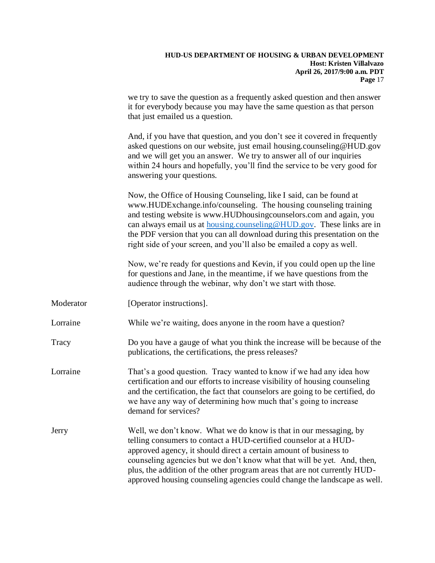# **HUD-US DEPARTMENT OF HOUSING & URBAN DEVELOPMENT Host: Kristen Villalvazo April 26, 2017/9:00 a.m. PDT Page** 17 we try to save the question as a frequently asked question and then answer it for everybody because you may have the same question as that person that just emailed us a question. And, if you have that question, and you don't see it covered in frequently asked questions on our website, just email housing.counseling@HUD.gov and we will get you an answer. We try to answer all of our inquiries within 24 hours and hopefully, you'll find the service to be very good for answering your questions. Now, the Office of Housing Counseling, like I said, can be found at www.HUDExchange.info/counseling. The housing counseling training and testing website is www.HUDhousingcounselors.com and again, you can always email us at [housing.counseling@HUD.gov.](mailto:housing.counseling@HUD.gov) These links are in the PDF version that you can all download during this presentation on the right side of your screen, and you'll also be emailed a copy as well. Now, we're ready for questions and Kevin, if you could open up the line for questions and Jane, in the meantime, if we have questions from the audience through the webinar, why don't we start with those. Moderator [Operator instructions]. Lorraine While we're waiting, does anyone in the room have a question? Tracy Do you have a gauge of what you think the increase will be because of the publications, the certifications, the press releases? Lorraine That's a good question. Tracy wanted to know if we had any idea how certification and our efforts to increase visibility of housing counseling and the certification, the fact that counselors are going to be certified, do we have any way of determining how much that's going to increase demand for services? Jerry Well, we don't know. What we do know is that in our messaging, by telling consumers to contact a HUD-certified counselor at a HUDapproved agency, it should direct a certain amount of business to counseling agencies but we don't know what that will be yet. And, then, plus, the addition of the other program areas that are not currently HUDapproved housing counseling agencies could change the landscape as well.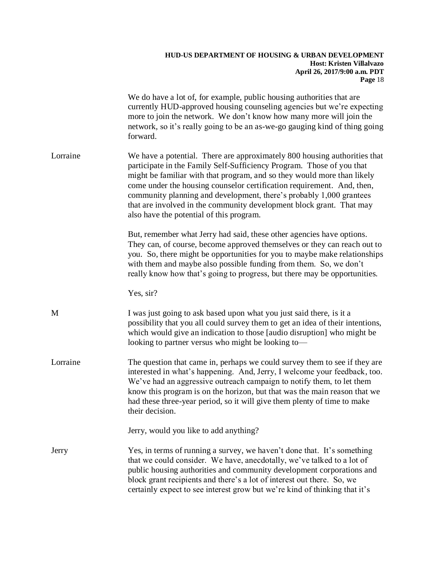|          | We do have a lot of, for example, public housing authorities that are<br>currently HUD-approved housing counseling agencies but we're expecting<br>more to join the network. We don't know how many more will join the<br>network, so it's really going to be an as-we-go gauging kind of thing going<br>forward.                                                                                                                                                                                  |
|----------|----------------------------------------------------------------------------------------------------------------------------------------------------------------------------------------------------------------------------------------------------------------------------------------------------------------------------------------------------------------------------------------------------------------------------------------------------------------------------------------------------|
| Lorraine | We have a potential. There are approximately 800 housing authorities that<br>participate in the Family Self-Sufficiency Program. Those of you that<br>might be familiar with that program, and so they would more than likely<br>come under the housing counselor certification requirement. And, then,<br>community planning and development, there's probably 1,000 grantees<br>that are involved in the community development block grant. That may<br>also have the potential of this program. |
|          | But, remember what Jerry had said, these other agencies have options.<br>They can, of course, become approved themselves or they can reach out to<br>you. So, there might be opportunities for you to maybe make relationships<br>with them and maybe also possible funding from them. So, we don't<br>really know how that's going to progress, but there may be opportunities.                                                                                                                   |
|          | Yes, sir?                                                                                                                                                                                                                                                                                                                                                                                                                                                                                          |
| M        | I was just going to ask based upon what you just said there, is it a<br>possibility that you all could survey them to get an idea of their intentions,<br>which would give an indication to those [audio disruption] who might be<br>looking to partner versus who might be looking to-                                                                                                                                                                                                            |
| Lorraine | The question that came in, perhaps we could survey them to see if they are<br>interested in what's happening. And, Jerry, I welcome your feedback, too.<br>We've had an aggressive outreach campaign to notify them, to let them<br>know this program is on the horizon, but that was the main reason that we<br>had these three-year period, so it will give them plenty of time to make<br>their decision.                                                                                       |
|          | Jerry, would you like to add anything?                                                                                                                                                                                                                                                                                                                                                                                                                                                             |
| Jerry    | Yes, in terms of running a survey, we haven't done that. It's something<br>that we could consider. We have, anecdotally, we've talked to a lot of<br>public housing authorities and community development corporations and<br>block grant recipients and there's a lot of interest out there. So, we<br>certainly expect to see interest grow but we're kind of thinking that it's                                                                                                                 |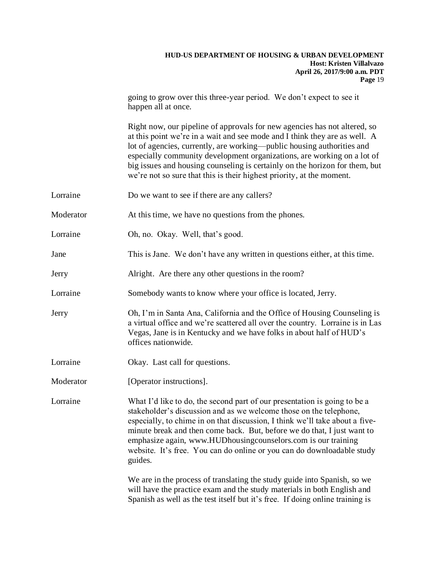going to grow over this three-year period. We don't expect to see it happen all at once.

Right now, our pipeline of approvals for new agencies has not altered, so at this point we're in a wait and see mode and I think they are as well. A lot of agencies, currently, are working—public housing authorities and especially community development organizations, are working on a lot of big issues and housing counseling is certainly on the horizon for them, but we're not so sure that this is their highest priority, at the moment.

- Lorraine Do we want to see if there are any callers?
- Moderator At this time, we have no questions from the phones.
- Lorraine Oh, no. Okay. Well, that's good.
- Jane This is Jane. We don't have any written in questions either, at this time.
- Jerry Alright. Are there any other questions in the room?
- Lorraine Somebody wants to know where your office is located, Jerry.
- Jerry Oh, I'm in Santa Ana, California and the Office of Housing Counseling is a virtual office and we're scattered all over the country. Lorraine is in Las Vegas, Jane is in Kentucky and we have folks in about half of HUD's offices nationwide.
- Lorraine Okay. Last call for questions.
- Moderator [Operator instructions].

Lorraine What I'd like to do, the second part of our presentation is going to be a stakeholder's discussion and as we welcome those on the telephone, especially, to chime in on that discussion, I think we'll take about a fiveminute break and then come back. But, before we do that, I just want to emphasize again, www.HUDhousingcounselors.com is our training website. It's free. You can do online or you can do downloadable study guides.

> We are in the process of translating the study guide into Spanish, so we will have the practice exam and the study materials in both English and Spanish as well as the test itself but it's free. If doing online training is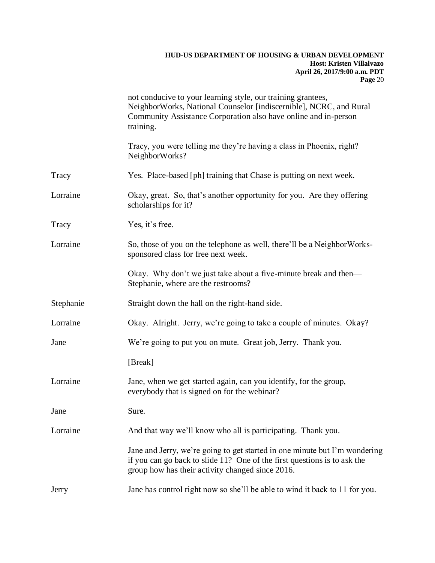|           | not conducive to your learning style, our training grantees,<br>NeighborWorks, National Counselor [indiscernible], NCRC, and Rural<br>Community Assistance Corporation also have online and in-person<br>training. |
|-----------|--------------------------------------------------------------------------------------------------------------------------------------------------------------------------------------------------------------------|
|           | Tracy, you were telling me they're having a class in Phoenix, right?<br>NeighborWorks?                                                                                                                             |
| Tracy     | Yes. Place-based [ph] training that Chase is putting on next week.                                                                                                                                                 |
| Lorraine  | Okay, great. So, that's another opportunity for you. Are they offering<br>scholarships for it?                                                                                                                     |
| Tracy     | Yes, it's free.                                                                                                                                                                                                    |
| Lorraine  | So, those of you on the telephone as well, there'll be a Neighbor Works-<br>sponsored class for free next week.                                                                                                    |
|           | Okay. Why don't we just take about a five-minute break and then—<br>Stephanie, where are the restrooms?                                                                                                            |
| Stephanie | Straight down the hall on the right-hand side.                                                                                                                                                                     |
| Lorraine  | Okay. Alright. Jerry, we're going to take a couple of minutes. Okay?                                                                                                                                               |
| Jane      | We're going to put you on mute. Great job, Jerry. Thank you.                                                                                                                                                       |
|           | [Break]                                                                                                                                                                                                            |
| Lorraine  | Jane, when we get started again, can you identify, for the group,<br>everybody that is signed on for the webinar?                                                                                                  |
| Jane      | Sure.                                                                                                                                                                                                              |
| Lorraine  | And that way we'll know who all is participating. Thank you.                                                                                                                                                       |
|           | Jane and Jerry, we're going to get started in one minute but I'm wondering<br>if you can go back to slide 11? One of the first questions is to ask the<br>group how has their activity changed since 2016.         |
| Jerry     | Jane has control right now so she'll be able to wind it back to 11 for you.                                                                                                                                        |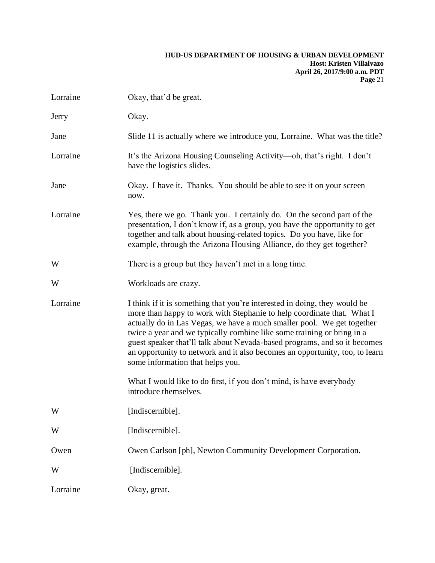| Lorraine | Okay, that'd be great.                                                                                                                                                                                                                                                                                                                                                                                                                                                                                  |
|----------|---------------------------------------------------------------------------------------------------------------------------------------------------------------------------------------------------------------------------------------------------------------------------------------------------------------------------------------------------------------------------------------------------------------------------------------------------------------------------------------------------------|
| Jerry    | Okay.                                                                                                                                                                                                                                                                                                                                                                                                                                                                                                   |
| Jane     | Slide 11 is actually where we introduce you, Lorraine. What was the title?                                                                                                                                                                                                                                                                                                                                                                                                                              |
| Lorraine | It's the Arizona Housing Counseling Activity—oh, that's right. I don't<br>have the logistics slides.                                                                                                                                                                                                                                                                                                                                                                                                    |
| Jane     | Okay. I have it. Thanks. You should be able to see it on your screen<br>now.                                                                                                                                                                                                                                                                                                                                                                                                                            |
| Lorraine | Yes, there we go. Thank you. I certainly do. On the second part of the<br>presentation, I don't know if, as a group, you have the opportunity to get<br>together and talk about housing-related topics. Do you have, like for<br>example, through the Arizona Housing Alliance, do they get together?                                                                                                                                                                                                   |
| W        | There is a group but they haven't met in a long time.                                                                                                                                                                                                                                                                                                                                                                                                                                                   |
| W        | Workloads are crazy.                                                                                                                                                                                                                                                                                                                                                                                                                                                                                    |
| Lorraine | I think if it is something that you're interested in doing, they would be<br>more than happy to work with Stephanie to help coordinate that. What I<br>actually do in Las Vegas, we have a much smaller pool. We get together<br>twice a year and we typically combine like some training or bring in a<br>guest speaker that'll talk about Nevada-based programs, and so it becomes<br>an opportunity to network and it also becomes an opportunity, too, to learn<br>some information that helps you. |
|          | What I would like to do first, if you don't mind, is have everybody<br>introduce themselves.                                                                                                                                                                                                                                                                                                                                                                                                            |
| W        | [Indiscernible].                                                                                                                                                                                                                                                                                                                                                                                                                                                                                        |
| W        | [Indiscernible].                                                                                                                                                                                                                                                                                                                                                                                                                                                                                        |
| Owen     | Owen Carlson [ph], Newton Community Development Corporation.                                                                                                                                                                                                                                                                                                                                                                                                                                            |
| W        | [Indiscernible].                                                                                                                                                                                                                                                                                                                                                                                                                                                                                        |
| Lorraine | Okay, great.                                                                                                                                                                                                                                                                                                                                                                                                                                                                                            |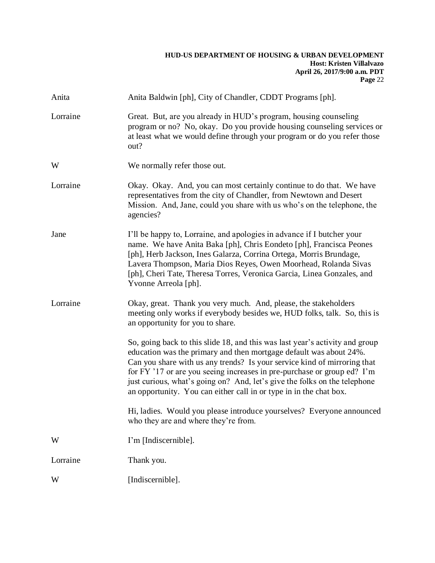| Anita    | Anita Baldwin [ph], City of Chandler, CDDT Programs [ph].                                                                                                                                                                                                                                                                                                                                                                                                    |
|----------|--------------------------------------------------------------------------------------------------------------------------------------------------------------------------------------------------------------------------------------------------------------------------------------------------------------------------------------------------------------------------------------------------------------------------------------------------------------|
| Lorraine | Great. But, are you already in HUD's program, housing counseling<br>program or no? No, okay. Do you provide housing counseling services or<br>at least what we would define through your program or do you refer those<br>out?                                                                                                                                                                                                                               |
| W        | We normally refer those out.                                                                                                                                                                                                                                                                                                                                                                                                                                 |
| Lorraine | Okay. Okay. And, you can most certainly continue to do that. We have<br>representatives from the city of Chandler, from Newtown and Desert<br>Mission. And, Jane, could you share with us who's on the telephone, the<br>agencies?                                                                                                                                                                                                                           |
| Jane     | I'll be happy to, Lorraine, and apologies in advance if I butcher your<br>name. We have Anita Baka [ph], Chris Eondeto [ph], Francisca Peones<br>[ph], Herb Jackson, Ines Galarza, Corrina Ortega, Morris Brundage,<br>Lavera Thompson, Maria Dios Reyes, Owen Moorhead, Rolanda Sivas<br>[ph], Cheri Tate, Theresa Torres, Veronica Garcia, Linea Gonzales, and<br>Yvonne Arreola [ph].                                                                     |
| Lorraine | Okay, great. Thank you very much. And, please, the stakeholders<br>meeting only works if everybody besides we, HUD folks, talk. So, this is<br>an opportunity for you to share.                                                                                                                                                                                                                                                                              |
|          | So, going back to this slide 18, and this was last year's activity and group<br>education was the primary and then mortgage default was about 24%.<br>Can you share with us any trends? Is your service kind of mirroring that<br>for FY '17 or are you seeing increases in pre-purchase or group ed? I'm<br>just curious, what's going on? And, let's give the folks on the telephone<br>an opportunity. You can either call in or type in in the chat box. |
|          | Hi, ladies. Would you please introduce yourselves? Everyone announced<br>who they are and where they're from.                                                                                                                                                                                                                                                                                                                                                |
| W        | I'm [Indiscernible].                                                                                                                                                                                                                                                                                                                                                                                                                                         |
| Lorraine | Thank you.                                                                                                                                                                                                                                                                                                                                                                                                                                                   |
| W        | [Indiscernible].                                                                                                                                                                                                                                                                                                                                                                                                                                             |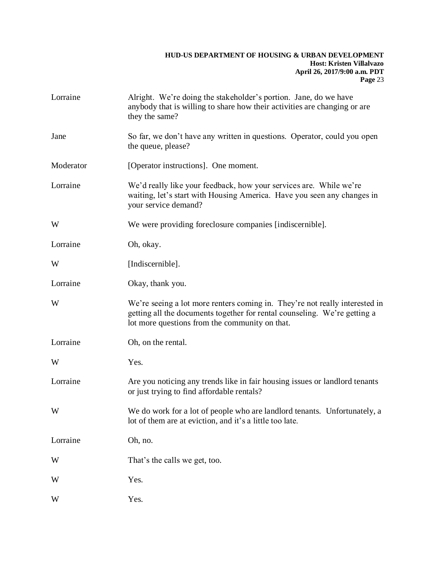| Lorraine  | Alright. We're doing the stakeholder's portion. Jane, do we have<br>anybody that is willing to share how their activities are changing or are<br>they the same?                                            |
|-----------|------------------------------------------------------------------------------------------------------------------------------------------------------------------------------------------------------------|
| Jane      | So far, we don't have any written in questions. Operator, could you open<br>the queue, please?                                                                                                             |
| Moderator | [Operator instructions]. One moment.                                                                                                                                                                       |
| Lorraine  | We'd really like your feedback, how your services are. While we're<br>waiting, let's start with Housing America. Have you seen any changes in<br>your service demand?                                      |
| W         | We were providing foreclosure companies [indiscernible].                                                                                                                                                   |
| Lorraine  | Oh, okay.                                                                                                                                                                                                  |
| W         | [Indiscernible].                                                                                                                                                                                           |
| Lorraine  | Okay, thank you.                                                                                                                                                                                           |
| W         | We're seeing a lot more renters coming in. They're not really interested in<br>getting all the documents together for rental counseling. We're getting a<br>lot more questions from the community on that. |
| Lorraine  | Oh, on the rental.                                                                                                                                                                                         |
| W         | Yes.                                                                                                                                                                                                       |
| Lorraine  | Are you noticing any trends like in fair housing issues or landlord tenants<br>or just trying to find affordable rentals?                                                                                  |
| W         | We do work for a lot of people who are landlord tenants. Unfortunately, a<br>lot of them are at eviction, and it's a little too late.                                                                      |
| Lorraine  | Oh, no.                                                                                                                                                                                                    |
| W         | That's the calls we get, too.                                                                                                                                                                              |
| W         | Yes.                                                                                                                                                                                                       |
| W         | Yes.                                                                                                                                                                                                       |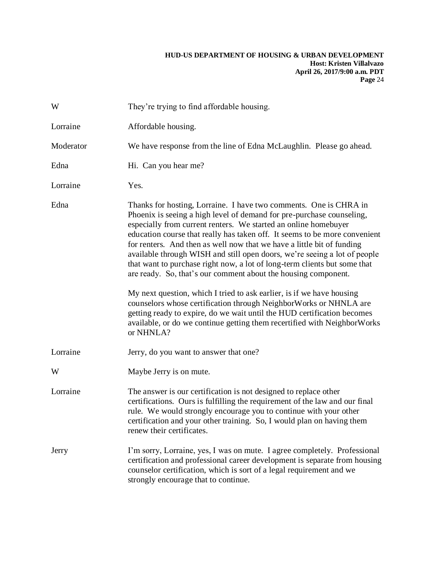| W         | They're trying to find affordable housing.                                                                                                                                                                                                                                                                                                                                                                                                                                                                                                                                                                                                                                                                                                                                                                                                                                                                          |
|-----------|---------------------------------------------------------------------------------------------------------------------------------------------------------------------------------------------------------------------------------------------------------------------------------------------------------------------------------------------------------------------------------------------------------------------------------------------------------------------------------------------------------------------------------------------------------------------------------------------------------------------------------------------------------------------------------------------------------------------------------------------------------------------------------------------------------------------------------------------------------------------------------------------------------------------|
| Lorraine  | Affordable housing.                                                                                                                                                                                                                                                                                                                                                                                                                                                                                                                                                                                                                                                                                                                                                                                                                                                                                                 |
| Moderator | We have response from the line of Edna McLaughlin. Please go ahead.                                                                                                                                                                                                                                                                                                                                                                                                                                                                                                                                                                                                                                                                                                                                                                                                                                                 |
| Edna      | Hi. Can you hear me?                                                                                                                                                                                                                                                                                                                                                                                                                                                                                                                                                                                                                                                                                                                                                                                                                                                                                                |
| Lorraine  | Yes.                                                                                                                                                                                                                                                                                                                                                                                                                                                                                                                                                                                                                                                                                                                                                                                                                                                                                                                |
| Edna      | Thanks for hosting, Lorraine. I have two comments. One is CHRA in<br>Phoenix is seeing a high level of demand for pre-purchase counseling,<br>especially from current renters. We started an online homebuyer<br>education course that really has taken off. It seems to be more convenient<br>for renters. And then as well now that we have a little bit of funding<br>available through WISH and still open doors, we're seeing a lot of people<br>that want to purchase right now, a lot of long-term clients but some that<br>are ready. So, that's our comment about the housing component.<br>My next question, which I tried to ask earlier, is if we have housing<br>counselors whose certification through NeighborWorks or NHNLA are<br>getting ready to expire, do we wait until the HUD certification becomes<br>available, or do we continue getting them recertified with NeighborWorks<br>or NHNLA? |
| Lorraine  | Jerry, do you want to answer that one?                                                                                                                                                                                                                                                                                                                                                                                                                                                                                                                                                                                                                                                                                                                                                                                                                                                                              |
| W         | Maybe Jerry is on mute.                                                                                                                                                                                                                                                                                                                                                                                                                                                                                                                                                                                                                                                                                                                                                                                                                                                                                             |
| Lorraine  | The answer is our certification is not designed to replace other<br>certifications. Ours is fulfilling the requirement of the law and our final<br>rule. We would strongly encourage you to continue with your other<br>certification and your other training. So, I would plan on having them<br>renew their certificates.                                                                                                                                                                                                                                                                                                                                                                                                                                                                                                                                                                                         |
| Jerry     | I'm sorry, Lorraine, yes, I was on mute. I agree completely. Professional<br>certification and professional career development is separate from housing<br>counselor certification, which is sort of a legal requirement and we<br>strongly encourage that to continue.                                                                                                                                                                                                                                                                                                                                                                                                                                                                                                                                                                                                                                             |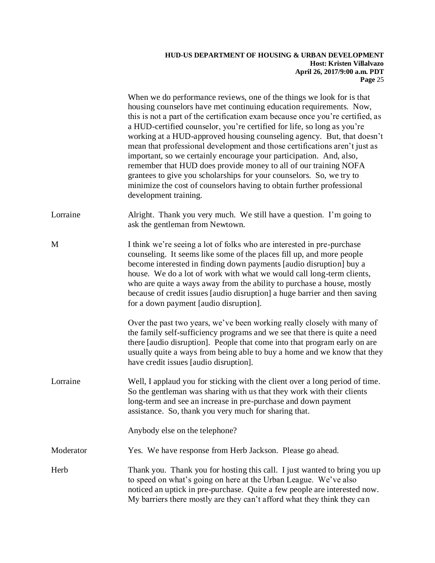|           | When we do performance reviews, one of the things we look for is that<br>housing counselors have met continuing education requirements. Now,<br>this is not a part of the certification exam because once you're certified, as<br>a HUD-certified counselor, you're certified for life, so long as you're<br>working at a HUD-approved housing counseling agency. But, that doesn't<br>mean that professional development and those certifications aren't just as<br>important, so we certainly encourage your participation. And, also,<br>remember that HUD does provide money to all of our training NOFA<br>grantees to give you scholarships for your counselors. So, we try to<br>minimize the cost of counselors having to obtain further professional<br>development training. |
|-----------|----------------------------------------------------------------------------------------------------------------------------------------------------------------------------------------------------------------------------------------------------------------------------------------------------------------------------------------------------------------------------------------------------------------------------------------------------------------------------------------------------------------------------------------------------------------------------------------------------------------------------------------------------------------------------------------------------------------------------------------------------------------------------------------|
| Lorraine  | Alright. Thank you very much. We still have a question. I'm going to<br>ask the gentleman from Newtown.                                                                                                                                                                                                                                                                                                                                                                                                                                                                                                                                                                                                                                                                                |
| M         | I think we're seeing a lot of folks who are interested in pre-purchase<br>counseling. It seems like some of the places fill up, and more people<br>become interested in finding down payments [audio disruption] buy a<br>house. We do a lot of work with what we would call long-term clients,<br>who are quite a ways away from the ability to purchase a house, mostly<br>because of credit issues [audio disruption] a huge barrier and then saving<br>for a down payment [audio disruption].                                                                                                                                                                                                                                                                                      |
|           | Over the past two years, we've been working really closely with many of<br>the family self-sufficiency programs and we see that there is quite a need<br>there [audio disruption]. People that come into that program early on are<br>usually quite a ways from being able to buy a home and we know that they<br>have credit issues [audio disruption].                                                                                                                                                                                                                                                                                                                                                                                                                               |
| Lorraine  | Well, I applaud you for sticking with the client over a long period of time.<br>So the gentleman was sharing with us that they work with their clients<br>long-term and see an increase in pre-purchase and down payment<br>assistance. So, thank you very much for sharing that.                                                                                                                                                                                                                                                                                                                                                                                                                                                                                                      |
|           | Anybody else on the telephone?                                                                                                                                                                                                                                                                                                                                                                                                                                                                                                                                                                                                                                                                                                                                                         |
| Moderator | Yes. We have response from Herb Jackson. Please go ahead.                                                                                                                                                                                                                                                                                                                                                                                                                                                                                                                                                                                                                                                                                                                              |
| Herb      | Thank you. Thank you for hosting this call. I just wanted to bring you up<br>to speed on what's going on here at the Urban League. We've also<br>noticed an uptick in pre-purchase. Quite a few people are interested now.<br>My barriers there mostly are they can't afford what they think they can                                                                                                                                                                                                                                                                                                                                                                                                                                                                                  |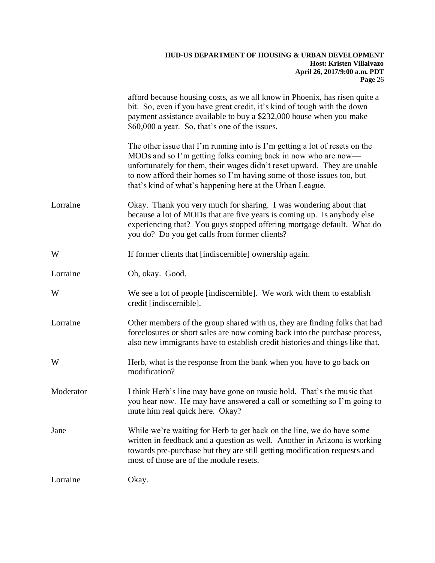|           | afford because housing costs, as we all know in Phoenix, has risen quite a<br>bit. So, even if you have great credit, it's kind of tough with the down<br>payment assistance available to buy a \$232,000 house when you make<br>\$60,000 a year. So, that's one of the issues.                                                                                |
|-----------|----------------------------------------------------------------------------------------------------------------------------------------------------------------------------------------------------------------------------------------------------------------------------------------------------------------------------------------------------------------|
|           | The other issue that I'm running into is I'm getting a lot of resets on the<br>MODs and so I'm getting folks coming back in now who are now—<br>unfortunately for them, their wages didn't reset upward. They are unable<br>to now afford their homes so I'm having some of those issues too, but<br>that's kind of what's happening here at the Urban League. |
| Lorraine  | Okay. Thank you very much for sharing. I was wondering about that<br>because a lot of MODs that are five years is coming up. Is anybody else<br>experiencing that? You guys stopped offering mortgage default. What do<br>you do? Do you get calls from former clients?                                                                                        |
| W         | If former clients that [indiscernible] ownership again.                                                                                                                                                                                                                                                                                                        |
| Lorraine  | Oh, okay. Good.                                                                                                                                                                                                                                                                                                                                                |
| W         | We see a lot of people [indiscernible]. We work with them to establish<br>credit [indiscernible].                                                                                                                                                                                                                                                              |
| Lorraine  | Other members of the group shared with us, they are finding folks that had<br>foreclosures or short sales are now coming back into the purchase process,<br>also new immigrants have to establish credit histories and things like that.                                                                                                                       |
| W         | Herb, what is the response from the bank when you have to go back on<br>modification?                                                                                                                                                                                                                                                                          |
| Moderator | I think Herb's line may have gone on music hold. That's the music that<br>you hear now. He may have answered a call or something so I'm going to<br>mute him real quick here. Okay?                                                                                                                                                                            |
| Jane      | While we're waiting for Herb to get back on the line, we do have some<br>written in feedback and a question as well. Another in Arizona is working<br>towards pre-purchase but they are still getting modification requests and<br>most of those are of the module resets.                                                                                     |
| Lorraine  | Okay.                                                                                                                                                                                                                                                                                                                                                          |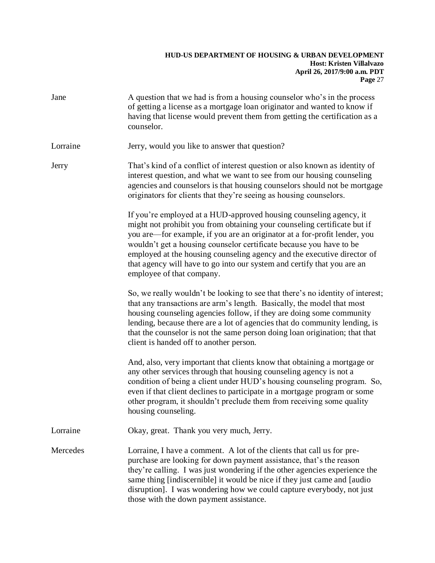| Jane     | A question that we had is from a housing counselor who's in the process<br>of getting a license as a mortgage loan originator and wanted to know if<br>having that license would prevent them from getting the certification as a<br>counselor.                                                                                                                                                                                                                                       |
|----------|---------------------------------------------------------------------------------------------------------------------------------------------------------------------------------------------------------------------------------------------------------------------------------------------------------------------------------------------------------------------------------------------------------------------------------------------------------------------------------------|
| Lorraine | Jerry, would you like to answer that question?                                                                                                                                                                                                                                                                                                                                                                                                                                        |
| Jerry    | That's kind of a conflict of interest question or also known as identity of<br>interest question, and what we want to see from our housing counseling<br>agencies and counselors is that housing counselors should not be mortgage<br>originators for clients that they're seeing as housing counselors.                                                                                                                                                                              |
|          | If you're employed at a HUD-approved housing counseling agency, it<br>might not prohibit you from obtaining your counseling certificate but if<br>you are—for example, if you are an originator at a for-profit lender, you<br>wouldn't get a housing counselor certificate because you have to be<br>employed at the housing counseling agency and the executive director of<br>that agency will have to go into our system and certify that you are an<br>employee of that company. |
|          | So, we really wouldn't be looking to see that there's no identity of interest;<br>that any transactions are arm's length. Basically, the model that most<br>housing counseling agencies follow, if they are doing some community<br>lending, because there are a lot of agencies that do community lending, is<br>that the counselor is not the same person doing loan origination; that that<br>client is handed off to another person.                                              |
|          | And, also, very important that clients know that obtaining a mortgage or<br>any other services through that housing counseling agency is not a<br>condition of being a client under HUD's housing counseling program. So,<br>even if that client declines to participate in a mortgage program or some<br>other program, it shouldn't preclude them from receiving some quality<br>housing counseling.                                                                                |
| Lorraine | Okay, great. Thank you very much, Jerry.                                                                                                                                                                                                                                                                                                                                                                                                                                              |
| Mercedes | Lorraine, I have a comment. A lot of the clients that call us for pre-<br>purchase are looking for down payment assistance, that's the reason<br>they're calling. I was just wondering if the other agencies experience the<br>same thing [indiscernible] it would be nice if they just came and [audio]<br>disruption]. I was wondering how we could capture everybody, not just<br>those with the down payment assistance.                                                          |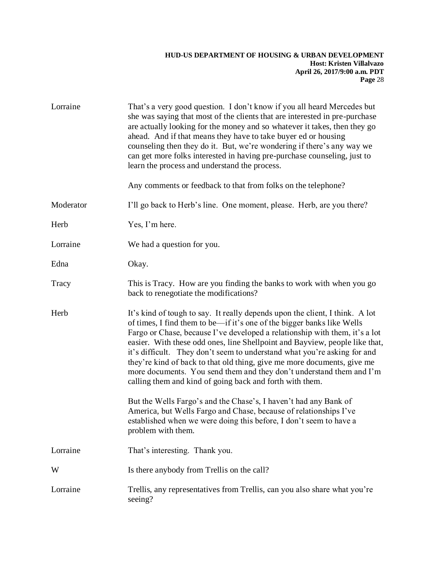| Lorraine  | That's a very good question. I don't know if you all heard Mercedes but<br>she was saying that most of the clients that are interested in pre-purchase<br>are actually looking for the money and so whatever it takes, then they go<br>ahead. And if that means they have to take buyer ed or housing<br>counseling then they do it. But, we're wondering if there's any way we<br>can get more folks interested in having pre-purchase counseling, just to<br>learn the process and understand the process.<br>Any comments or feedback to that from folks on the telephone?                                   |
|-----------|-----------------------------------------------------------------------------------------------------------------------------------------------------------------------------------------------------------------------------------------------------------------------------------------------------------------------------------------------------------------------------------------------------------------------------------------------------------------------------------------------------------------------------------------------------------------------------------------------------------------|
| Moderator | I'll go back to Herb's line. One moment, please. Herb, are you there?                                                                                                                                                                                                                                                                                                                                                                                                                                                                                                                                           |
| Herb      | Yes, I'm here.                                                                                                                                                                                                                                                                                                                                                                                                                                                                                                                                                                                                  |
| Lorraine  | We had a question for you.                                                                                                                                                                                                                                                                                                                                                                                                                                                                                                                                                                                      |
| Edna      | Okay.                                                                                                                                                                                                                                                                                                                                                                                                                                                                                                                                                                                                           |
| Tracy     | This is Tracy. How are you finding the banks to work with when you go<br>back to renegotiate the modifications?                                                                                                                                                                                                                                                                                                                                                                                                                                                                                                 |
| Herb      | It's kind of tough to say. It really depends upon the client, I think. A lot<br>of times, I find them to be—if it's one of the bigger banks like Wells<br>Fargo or Chase, because I've developed a relationship with them, it's a lot<br>easier. With these odd ones, line Shellpoint and Bayview, people like that,<br>it's difficult. They don't seem to understand what you're asking for and<br>they're kind of back to that old thing, give me more documents, give me<br>more documents. You send them and they don't understand them and I'm<br>calling them and kind of going back and forth with them. |
|           | But the Wells Fargo's and the Chase's, I haven't had any Bank of<br>America, but Wells Fargo and Chase, because of relationships I've<br>established when we were doing this before, I don't seem to have a<br>problem with them.                                                                                                                                                                                                                                                                                                                                                                               |
| Lorraine  | That's interesting. Thank you.                                                                                                                                                                                                                                                                                                                                                                                                                                                                                                                                                                                  |
| W         | Is there anybody from Trellis on the call?                                                                                                                                                                                                                                                                                                                                                                                                                                                                                                                                                                      |
| Lorraine  | Trellis, any representatives from Trellis, can you also share what you're<br>seeing?                                                                                                                                                                                                                                                                                                                                                                                                                                                                                                                            |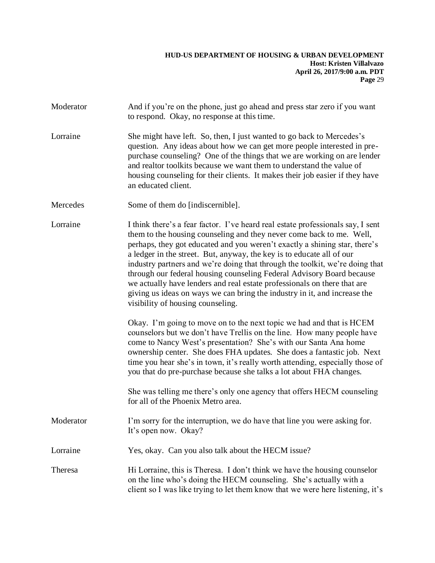- Moderator And if you're on the phone, just go ahead and press star zero if you want to respond. Okay, no response at this time.
- Lorraine She might have left. So, then, I just wanted to go back to Mercedes's question. Any ideas about how we can get more people interested in prepurchase counseling? One of the things that we are working on are lender and realtor toolkits because we want them to understand the value of housing counseling for their clients. It makes their job easier if they have an educated client.
- Mercedes Some of them do [indiscernible].
- Lorraine I think there's a fear factor. I've heard real estate professionals say, I sent them to the housing counseling and they never come back to me. Well, perhaps, they got educated and you weren't exactly a shining star, there's a ledger in the street. But, anyway, the key is to educate all of our industry partners and we're doing that through the toolkit, we're doing that through our federal housing counseling Federal Advisory Board because we actually have lenders and real estate professionals on there that are giving us ideas on ways we can bring the industry in it, and increase the visibility of housing counseling.

Okay. I'm going to move on to the next topic we had and that is HCEM counselors but we don't have Trellis on the line. How many people have come to Nancy West's presentation? She's with our Santa Ana home ownership center. She does FHA updates. She does a fantastic job. Next time you hear she's in town, it's really worth attending, especially those of you that do pre-purchase because she talks a lot about FHA changes.

She was telling me there's only one agency that offers HECM counseling for all of the Phoenix Metro area.

- Moderator I'm sorry for the interruption, we do have that line you were asking for. It's open now. Okay?
- Lorraine Yes, okay. Can you also talk about the HECM issue?
- Theresa Hi Lorraine, this is Theresa. I don't think we have the housing counselor on the line who's doing the HECM counseling. She's actually with a client so I was like trying to let them know that we were here listening, it's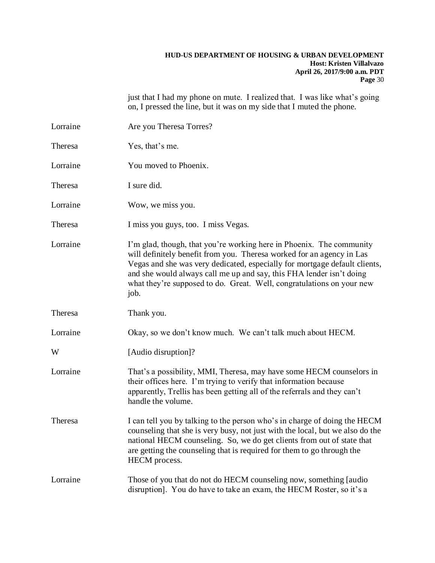just that I had my phone on mute. I realized that. I was like what's going on, I pressed the line, but it was on my side that I muted the phone.

| Lorraine | Are you Theresa Torres?                                                                                                                                                                                                                                                                                                                                                              |
|----------|--------------------------------------------------------------------------------------------------------------------------------------------------------------------------------------------------------------------------------------------------------------------------------------------------------------------------------------------------------------------------------------|
| Theresa  | Yes, that's me.                                                                                                                                                                                                                                                                                                                                                                      |
| Lorraine | You moved to Phoenix.                                                                                                                                                                                                                                                                                                                                                                |
| Theresa  | I sure did.                                                                                                                                                                                                                                                                                                                                                                          |
| Lorraine | Wow, we miss you.                                                                                                                                                                                                                                                                                                                                                                    |
| Theresa  | I miss you guys, too. I miss Vegas.                                                                                                                                                                                                                                                                                                                                                  |
| Lorraine | I'm glad, though, that you're working here in Phoenix. The community<br>will definitely benefit from you. Theresa worked for an agency in Las<br>Vegas and she was very dedicated, especially for mortgage default clients,<br>and she would always call me up and say, this FHA lender isn't doing<br>what they're supposed to do. Great. Well, congratulations on your new<br>job. |
| Theresa  | Thank you.                                                                                                                                                                                                                                                                                                                                                                           |
| Lorraine | Okay, so we don't know much. We can't talk much about HECM.                                                                                                                                                                                                                                                                                                                          |
| W        | [Audio disruption]?                                                                                                                                                                                                                                                                                                                                                                  |
| Lorraine | That's a possibility, MMI, Theresa, may have some HECM counselors in<br>their offices here. I'm trying to verify that information because<br>apparently, Trellis has been getting all of the referrals and they can't<br>handle the volume.                                                                                                                                          |
| Theresa  | I can tell you by talking to the person who's in charge of doing the HECM<br>counseling that she is very busy, not just with the local, but we also do the<br>national HECM counseling. So, we do get clients from out of state that<br>are getting the counseling that is required for them to go through the<br>HECM process.                                                      |
| Lorraine | Those of you that do not do HECM counseling now, something [audio]<br>disruption]. You do have to take an exam, the HECM Roster, so it's a                                                                                                                                                                                                                                           |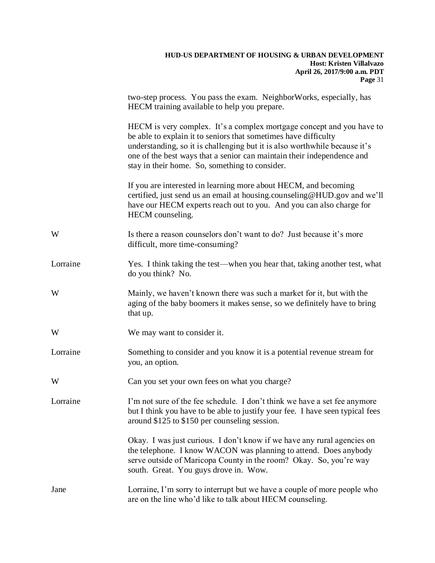# **HUD-US DEPARTMENT OF HOUSING & URBAN DEVELOPMENT Host: Kristen Villalvazo April 26, 2017/9:00 a.m. PDT Page** 31 two-step process. You pass the exam. NeighborWorks, especially, has HECM training available to help you prepare. HECM is very complex. It's a complex mortgage concept and you have to be able to explain it to seniors that sometimes have difficulty understanding, so it is challenging but it is also worthwhile because it's one of the best ways that a senior can maintain their independence and stay in their home. So, something to consider. If you are interested in learning more about HECM, and becoming certified, just send us an email at housing.counseling@HUD.gov and we'll have our HECM experts reach out to you. And you can also charge for HECM counseling. W Is there a reason counselors don't want to do? Just because it's more difficult, more time-consuming? Lorraine Yes. I think taking the test—when you hear that, taking another test, what do you think? No. W Mainly, we haven't known there was such a market for it, but with the aging of the baby boomers it makes sense, so we definitely have to bring that up. We may want to consider it. Lorraine Something to consider and you know it is a potential revenue stream for you, an option. W Can you set your own fees on what you charge? Lorraine I'm not sure of the fee schedule. I don't think we have a set fee anymore but I think you have to be able to justify your fee. I have seen typical fees around \$125 to \$150 per counseling session. Okay. I was just curious. I don't know if we have any rural agencies on the telephone. I know WACON was planning to attend. Does anybody serve outside of Maricopa County in the room? Okay. So, you're way south. Great. You guys drove in. Wow. Jane Lorraine, I'm sorry to interrupt but we have a couple of more people who are on the line who'd like to talk about HECM counseling.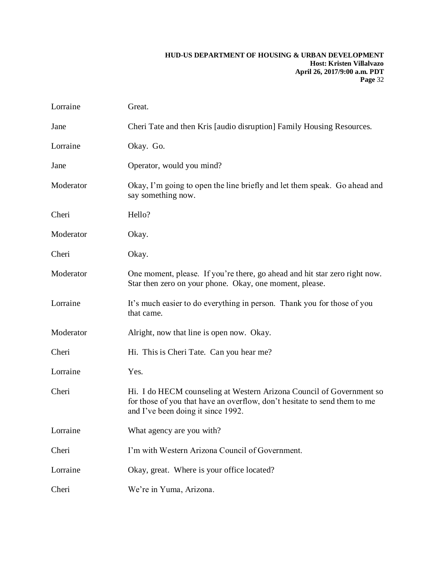| Lorraine  | Great.                                                                                                                                                                                  |
|-----------|-----------------------------------------------------------------------------------------------------------------------------------------------------------------------------------------|
| Jane      | Cheri Tate and then Kris [audio disruption] Family Housing Resources.                                                                                                                   |
| Lorraine  | Okay. Go.                                                                                                                                                                               |
| Jane      | Operator, would you mind?                                                                                                                                                               |
| Moderator | Okay, I'm going to open the line briefly and let them speak. Go ahead and<br>say something now.                                                                                         |
| Cheri     | Hello?                                                                                                                                                                                  |
| Moderator | Okay.                                                                                                                                                                                   |
| Cheri     | Okay.                                                                                                                                                                                   |
| Moderator | One moment, please. If you're there, go ahead and hit star zero right now.<br>Star then zero on your phone. Okay, one moment, please.                                                   |
| Lorraine  | It's much easier to do everything in person. Thank you for those of you<br>that came.                                                                                                   |
| Moderator | Alright, now that line is open now. Okay.                                                                                                                                               |
| Cheri     | Hi. This is Cheri Tate. Can you hear me?                                                                                                                                                |
| Lorraine  | Yes.                                                                                                                                                                                    |
| Cheri     | Hi. I do HECM counseling at Western Arizona Council of Government so<br>for those of you that have an overflow, don't hesitate to send them to me<br>and I've been doing it since 1992. |
| Lorraine  | What agency are you with?                                                                                                                                                               |
| Cheri     | I'm with Western Arizona Council of Government.                                                                                                                                         |
| Lorraine  | Okay, great. Where is your office located?                                                                                                                                              |
| Cheri     | We're in Yuma, Arizona.                                                                                                                                                                 |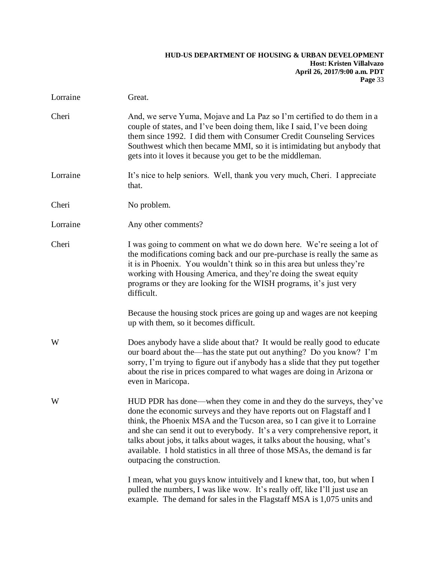| Lorraine | Great.                                                                                                                                                                                                                                                                                                                                                                                                                                                                                             |
|----------|----------------------------------------------------------------------------------------------------------------------------------------------------------------------------------------------------------------------------------------------------------------------------------------------------------------------------------------------------------------------------------------------------------------------------------------------------------------------------------------------------|
| Cheri    | And, we serve Yuma, Mojave and La Paz so I'm certified to do them in a<br>couple of states, and I've been doing them, like I said, I've been doing<br>them since 1992. I did them with Consumer Credit Counseling Services<br>Southwest which then became MMI, so it is intimidating but anybody that<br>gets into it loves it because you get to be the middleman.                                                                                                                                |
| Lorraine | It's nice to help seniors. Well, thank you very much, Cheri. I appreciate<br>that.                                                                                                                                                                                                                                                                                                                                                                                                                 |
| Cheri    | No problem.                                                                                                                                                                                                                                                                                                                                                                                                                                                                                        |
| Lorraine | Any other comments?                                                                                                                                                                                                                                                                                                                                                                                                                                                                                |
| Cheri    | I was going to comment on what we do down here. We're seeing a lot of<br>the modifications coming back and our pre-purchase is really the same as<br>it is in Phoenix. You wouldn't think so in this area but unless they're<br>working with Housing America, and they're doing the sweat equity<br>programs or they are looking for the WISH programs, it's just very<br>difficult.                                                                                                               |
|          | Because the housing stock prices are going up and wages are not keeping<br>up with them, so it becomes difficult.                                                                                                                                                                                                                                                                                                                                                                                  |
| W        | Does anybody have a slide about that? It would be really good to educate<br>our board about the—has the state put out anything? Do you know? I'm<br>sorry, I'm trying to figure out if anybody has a slide that they put together<br>about the rise in prices compared to what wages are doing in Arizona or<br>even in Maricopa.                                                                                                                                                                  |
| W        | HUD PDR has done—when they come in and they do the surveys, they've<br>done the economic surveys and they have reports out on Flagstaff and I<br>think, the Phoenix MSA and the Tucson area, so I can give it to Lorraine<br>and she can send it out to everybody. It's a very comprehensive report, it<br>talks about jobs, it talks about wages, it talks about the housing, what's<br>available. I hold statistics in all three of those MSAs, the demand is far<br>outpacing the construction. |
|          | I mean, what you guys know intuitively and I knew that, too, but when I<br>pulled the numbers, I was like wow. It's really off, like I'll just use an<br>example. The demand for sales in the Flagstaff MSA is 1,075 units and                                                                                                                                                                                                                                                                     |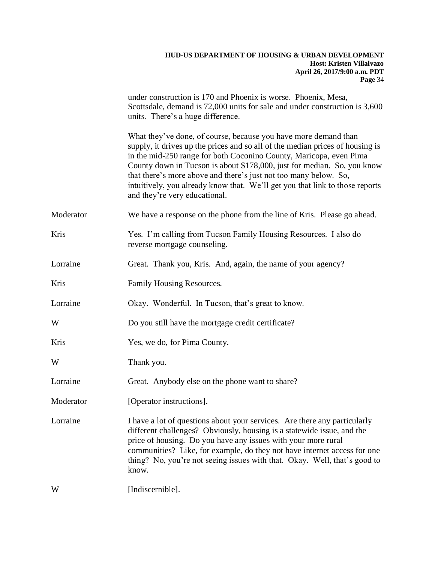|           | under construction is 170 and Phoenix is worse. Phoenix, Mesa,<br>Scottsdale, demand is 72,000 units for sale and under construction is 3,600<br>units. There's a huge difference.                                                                                                                                                                                                                                                                                                     |
|-----------|----------------------------------------------------------------------------------------------------------------------------------------------------------------------------------------------------------------------------------------------------------------------------------------------------------------------------------------------------------------------------------------------------------------------------------------------------------------------------------------|
|           | What they've done, of course, because you have more demand than<br>supply, it drives up the prices and so all of the median prices of housing is<br>in the mid-250 range for both Coconino County, Maricopa, even Pima<br>County down in Tucson is about \$178,000, just for median. So, you know<br>that there's more above and there's just not too many below. So,<br>intuitively, you already know that. We'll get you that link to those reports<br>and they're very educational. |
| Moderator | We have a response on the phone from the line of Kris. Please go ahead.                                                                                                                                                                                                                                                                                                                                                                                                                |
| Kris      | Yes. I'm calling from Tucson Family Housing Resources. I also do<br>reverse mortgage counseling.                                                                                                                                                                                                                                                                                                                                                                                       |
| Lorraine  | Great. Thank you, Kris. And, again, the name of your agency?                                                                                                                                                                                                                                                                                                                                                                                                                           |
| Kris      | Family Housing Resources.                                                                                                                                                                                                                                                                                                                                                                                                                                                              |
| Lorraine  | Okay. Wonderful. In Tucson, that's great to know.                                                                                                                                                                                                                                                                                                                                                                                                                                      |
| W         | Do you still have the mortgage credit certificate?                                                                                                                                                                                                                                                                                                                                                                                                                                     |
| Kris      | Yes, we do, for Pima County.                                                                                                                                                                                                                                                                                                                                                                                                                                                           |
| W         | Thank you.                                                                                                                                                                                                                                                                                                                                                                                                                                                                             |
| Lorraine  | Great. Anybody else on the phone want to share?                                                                                                                                                                                                                                                                                                                                                                                                                                        |
| Moderator | [Operator instructions].                                                                                                                                                                                                                                                                                                                                                                                                                                                               |
| Lorraine  | I have a lot of questions about your services. Are there any particularly<br>different challenges? Obviously, housing is a statewide issue, and the<br>price of housing. Do you have any issues with your more rural<br>communities? Like, for example, do they not have internet access for one<br>thing? No, you're not seeing issues with that. Okay. Well, that's good to<br>know.                                                                                                 |
| W         | [Indiscernible].                                                                                                                                                                                                                                                                                                                                                                                                                                                                       |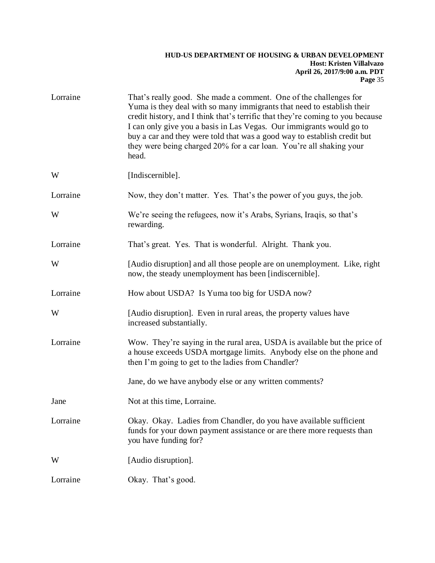| Lorraine | That's really good. She made a comment. One of the challenges for<br>Yuma is they deal with so many immigrants that need to establish their<br>credit history, and I think that's terrific that they're coming to you because<br>I can only give you a basis in Las Vegas. Our immigrants would go to<br>buy a car and they were told that was a good way to establish credit but<br>they were being charged 20% for a car loan. You're all shaking your<br>head. |
|----------|-------------------------------------------------------------------------------------------------------------------------------------------------------------------------------------------------------------------------------------------------------------------------------------------------------------------------------------------------------------------------------------------------------------------------------------------------------------------|
| W        | [Indiscernible].                                                                                                                                                                                                                                                                                                                                                                                                                                                  |
| Lorraine | Now, they don't matter. Yes. That's the power of you guys, the job.                                                                                                                                                                                                                                                                                                                                                                                               |
| W        | We're seeing the refugees, now it's Arabs, Syrians, Iraqis, so that's<br>rewarding.                                                                                                                                                                                                                                                                                                                                                                               |
| Lorraine | That's great. Yes. That is wonderful. Alright. Thank you.                                                                                                                                                                                                                                                                                                                                                                                                         |
| W        | [Audio disruption] and all those people are on unemployment. Like, right<br>now, the steady unemployment has been [indiscernible].                                                                                                                                                                                                                                                                                                                                |
| Lorraine | How about USDA? Is Yuma too big for USDA now?                                                                                                                                                                                                                                                                                                                                                                                                                     |
| W        | [Audio disruption]. Even in rural areas, the property values have<br>increased substantially.                                                                                                                                                                                                                                                                                                                                                                     |
| Lorraine | Wow. They're saying in the rural area, USDA is available but the price of<br>a house exceeds USDA mortgage limits. Anybody else on the phone and<br>then I'm going to get to the ladies from Chandler?                                                                                                                                                                                                                                                            |
|          | Jane, do we have anybody else or any written comments?                                                                                                                                                                                                                                                                                                                                                                                                            |
| Jane     | Not at this time, Lorraine.                                                                                                                                                                                                                                                                                                                                                                                                                                       |
| Lorraine | Okay. Okay. Ladies from Chandler, do you have available sufficient<br>funds for your down payment assistance or are there more requests than<br>you have funding for?                                                                                                                                                                                                                                                                                             |
| W        | [Audio disruption].                                                                                                                                                                                                                                                                                                                                                                                                                                               |
| Lorraine | Okay. That's good.                                                                                                                                                                                                                                                                                                                                                                                                                                                |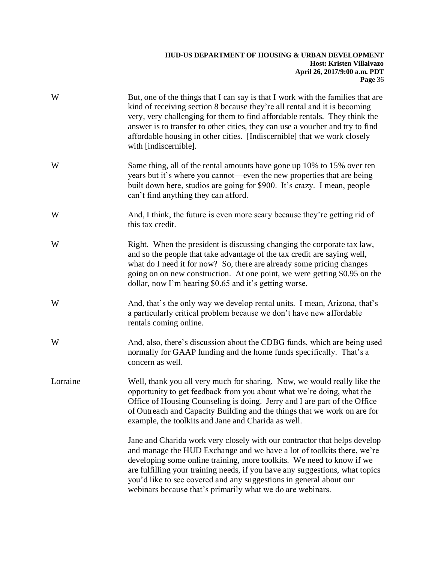| W        | But, one of the things that I can say is that I work with the families that are<br>kind of receiving section 8 because they're all rental and it is becoming<br>very, very challenging for them to find affordable rentals. They think the<br>answer is to transfer to other cities, they can use a voucher and try to find<br>affordable housing in other cities. [Indiscernible] that we work closely<br>with [indiscernible].                 |
|----------|--------------------------------------------------------------------------------------------------------------------------------------------------------------------------------------------------------------------------------------------------------------------------------------------------------------------------------------------------------------------------------------------------------------------------------------------------|
| W        | Same thing, all of the rental amounts have gone up 10% to 15% over ten<br>years but it's where you cannot—even the new properties that are being<br>built down here, studios are going for \$900. It's crazy. I mean, people<br>can't find anything they can afford.                                                                                                                                                                             |
| W        | And, I think, the future is even more scary because they're getting rid of<br>this tax credit.                                                                                                                                                                                                                                                                                                                                                   |
| W        | Right. When the president is discussing changing the corporate tax law,<br>and so the people that take advantage of the tax credit are saying well,<br>what do I need it for now? So, there are already some pricing changes<br>going on on new construction. At one point, we were getting \$0.95 on the<br>dollar, now I'm hearing \$0.65 and it's getting worse.                                                                              |
| W        | And, that's the only way we develop rental units. I mean, Arizona, that's<br>a particularly critical problem because we don't have new affordable<br>rentals coming online.                                                                                                                                                                                                                                                                      |
| W        | And, also, there's discussion about the CDBG funds, which are being used<br>normally for GAAP funding and the home funds specifically. That's a<br>concern as well.                                                                                                                                                                                                                                                                              |
| Lorraine | Well, thank you all very much for sharing. Now, we would really like the<br>opportunity to get feedback from you about what we're doing, what the<br>Office of Housing Counseling is doing. Jerry and I are part of the Office<br>of Outreach and Capacity Building and the things that we work on are for<br>example, the toolkits and Jane and Charida as well.                                                                                |
|          | Jane and Charida work very closely with our contractor that helps develop<br>and manage the HUD Exchange and we have a lot of toolkits there, we're<br>developing some online training, more toolkits. We need to know if we<br>are fulfilling your training needs, if you have any suggestions, what topics<br>you'd like to see covered and any suggestions in general about our<br>webinars because that's primarily what we do are webinars. |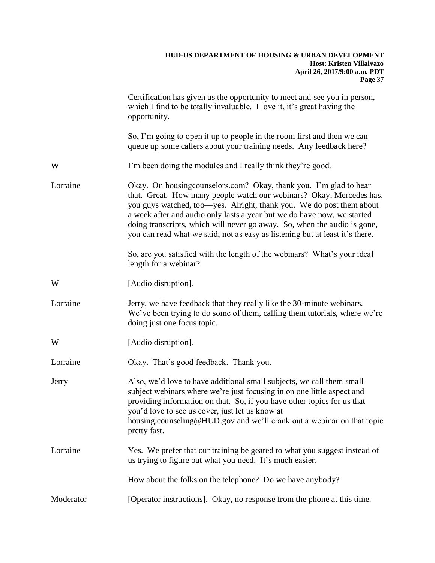|           | Certification has given us the opportunity to meet and see you in person,<br>which I find to be totally invaluable. I love it, it's great having the<br>opportunity.                                                                                                                                                                                                                                                                                      |
|-----------|-----------------------------------------------------------------------------------------------------------------------------------------------------------------------------------------------------------------------------------------------------------------------------------------------------------------------------------------------------------------------------------------------------------------------------------------------------------|
|           | So, I'm going to open it up to people in the room first and then we can<br>queue up some callers about your training needs. Any feedback here?                                                                                                                                                                                                                                                                                                            |
| W         | I'm been doing the modules and I really think they're good.                                                                                                                                                                                                                                                                                                                                                                                               |
| Lorraine  | Okay. On housing counselors.com? Okay, thank you. I'm glad to hear<br>that. Great. How many people watch our webinars? Okay, Mercedes has,<br>you guys watched, too-yes. Alright, thank you. We do post them about<br>a week after and audio only lasts a year but we do have now, we started<br>doing transcripts, which will never go away. So, when the audio is gone,<br>you can read what we said; not as easy as listening but at least it's there. |
|           | So, are you satisfied with the length of the webinars? What's your ideal<br>length for a webinar?                                                                                                                                                                                                                                                                                                                                                         |
| W         | [Audio disruption].                                                                                                                                                                                                                                                                                                                                                                                                                                       |
| Lorraine  | Jerry, we have feedback that they really like the 30-minute webinars.<br>We've been trying to do some of them, calling them tutorials, where we're<br>doing just one focus topic.                                                                                                                                                                                                                                                                         |
| W         | [Audio disruption].                                                                                                                                                                                                                                                                                                                                                                                                                                       |
| Lorraine  | Okay. That's good feedback. Thank you.                                                                                                                                                                                                                                                                                                                                                                                                                    |
| Jerry     | Also, we'd love to have additional small subjects, we call them small<br>subject webinars where we're just focusing in on one little aspect and<br>providing information on that. So, if you have other topics for us that<br>you'd love to see us cover, just let us know at<br>housing.counseling@HUD.gov and we'll crank out a webinar on that topic<br>pretty fast.                                                                                   |
| Lorraine  | Yes. We prefer that our training be geared to what you suggest instead of<br>us trying to figure out what you need. It's much easier.                                                                                                                                                                                                                                                                                                                     |
|           | How about the folks on the telephone? Do we have anybody?                                                                                                                                                                                                                                                                                                                                                                                                 |
| Moderator | [Operator instructions]. Okay, no response from the phone at this time.                                                                                                                                                                                                                                                                                                                                                                                   |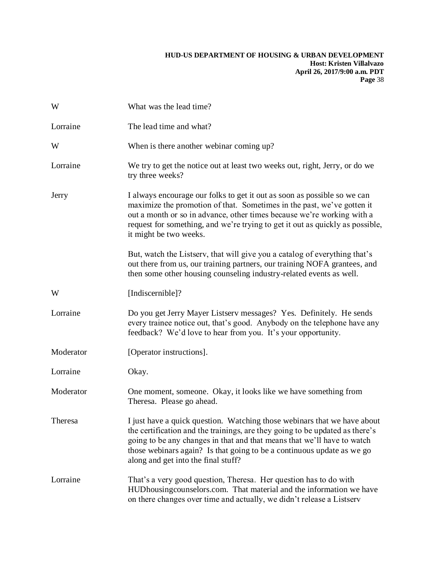| W         | What was the lead time?                                                                                                                                                                                                                                                                                                                              |
|-----------|------------------------------------------------------------------------------------------------------------------------------------------------------------------------------------------------------------------------------------------------------------------------------------------------------------------------------------------------------|
| Lorraine  | The lead time and what?                                                                                                                                                                                                                                                                                                                              |
| W         | When is there another webinar coming up?                                                                                                                                                                                                                                                                                                             |
| Lorraine  | We try to get the notice out at least two weeks out, right, Jerry, or do we<br>try three weeks?                                                                                                                                                                                                                                                      |
| Jerry     | I always encourage our folks to get it out as soon as possible so we can<br>maximize the promotion of that. Sometimes in the past, we've gotten it<br>out a month or so in advance, other times because we're working with a<br>request for something, and we're trying to get it out as quickly as possible,<br>it might be two weeks.              |
|           | But, watch the Listserv, that will give you a catalog of everything that's<br>out there from us, our training partners, our training NOFA grantees, and<br>then some other housing counseling industry-related events as well.                                                                                                                       |
| W         | [Indiscernible]?                                                                                                                                                                                                                                                                                                                                     |
| Lorraine  | Do you get Jerry Mayer Listserv messages? Yes. Definitely. He sends<br>every trainee notice out, that's good. Anybody on the telephone have any<br>feedback? We'd love to hear from you. It's your opportunity.                                                                                                                                      |
| Moderator | [Operator instructions].                                                                                                                                                                                                                                                                                                                             |
| Lorraine  | Okay.                                                                                                                                                                                                                                                                                                                                                |
| Moderator | One moment, someone. Okay, it looks like we have something from<br>Theresa. Please go ahead.                                                                                                                                                                                                                                                         |
| Theresa   | I just have a quick question. Watching those webinars that we have about<br>the certification and the trainings, are they going to be updated as there's<br>going to be any changes in that and that means that we'll have to watch<br>those webinars again? Is that going to be a continuous update as we go<br>along and get into the final stuff? |
| Lorraine  | That's a very good question, Theresa. Her question has to do with<br>HUDhousing counselors.com. That material and the information we have<br>on there changes over time and actually, we didn't release a Listserv                                                                                                                                   |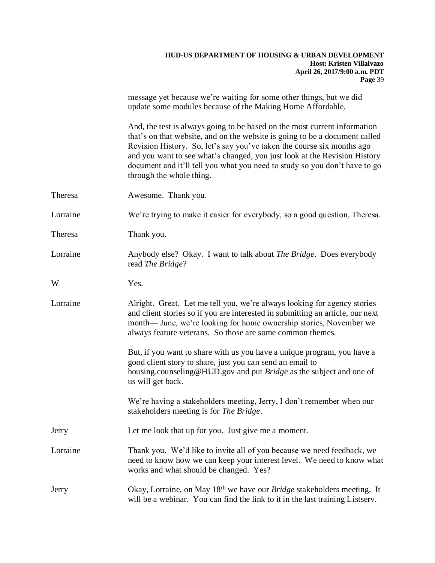|          | message yet because we're waiting for some other things, but we did<br>update some modules because of the Making Home Affordable.                                                                                                                                                                                                                                                                                         |
|----------|---------------------------------------------------------------------------------------------------------------------------------------------------------------------------------------------------------------------------------------------------------------------------------------------------------------------------------------------------------------------------------------------------------------------------|
|          | And, the test is always going to be based on the most current information<br>that's on that website, and on the website is going to be a document called<br>Revision History. So, let's say you've taken the course six months ago<br>and you want to see what's changed, you just look at the Revision History<br>document and it'll tell you what you need to study so you don't have to go<br>through the whole thing. |
| Theresa  | Awesome. Thank you.                                                                                                                                                                                                                                                                                                                                                                                                       |
| Lorraine | We're trying to make it easier for everybody, so a good question, Theresa.                                                                                                                                                                                                                                                                                                                                                |
| Theresa  | Thank you.                                                                                                                                                                                                                                                                                                                                                                                                                |
| Lorraine | Anybody else? Okay. I want to talk about <i>The Bridge</i> . Does everybody<br>read The Bridge?                                                                                                                                                                                                                                                                                                                           |
| W        | Yes.                                                                                                                                                                                                                                                                                                                                                                                                                      |
| Lorraine | Alright. Great. Let me tell you, we're always looking for agency stories<br>and client stories so if you are interested in submitting an article, our next<br>month— June, we're looking for home ownership stories, November we<br>always feature veterans. So those are some common themes.                                                                                                                             |
|          | But, if you want to share with us you have a unique program, you have a<br>good client story to share, just you can send an email to<br>housing.counseling@HUD.gov and put Bridge as the subject and one of<br>us will get back.                                                                                                                                                                                          |
|          | We're having a stakeholders meeting, Jerry, I don't remember when our<br>stakeholders meeting is for <i>The Bridge</i> .                                                                                                                                                                                                                                                                                                  |
| Jerry    | Let me look that up for you. Just give me a moment.                                                                                                                                                                                                                                                                                                                                                                       |
| Lorraine | Thank you. We'd like to invite all of you because we need feedback, we<br>need to know how we can keep your interest level. We need to know what<br>works and what should be changed. Yes?                                                                                                                                                                                                                                |
| Jerry    | Okay, Lorraine, on May 18 <sup>th</sup> we have our <i>Bridge</i> stakeholders meeting. It<br>will be a webinar. You can find the link to it in the last training Listserv.                                                                                                                                                                                                                                               |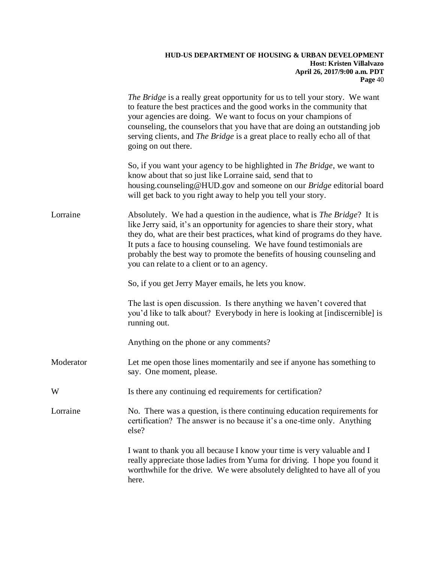|           | <i>The Bridge</i> is a really great opportunity for us to tell your story. We want<br>to feature the best practices and the good works in the community that<br>your agencies are doing. We want to focus on your champions of<br>counseling, the counselors that you have that are doing an outstanding job<br>serving clients, and The Bridge is a great place to really echo all of that<br>going on out there.                                |
|-----------|---------------------------------------------------------------------------------------------------------------------------------------------------------------------------------------------------------------------------------------------------------------------------------------------------------------------------------------------------------------------------------------------------------------------------------------------------|
|           | So, if you want your agency to be highlighted in <i>The Bridge</i> , we want to<br>know about that so just like Lorraine said, send that to<br>housing.counseling@HUD.gov and someone on our Bridge editorial board<br>will get back to you right away to help you tell your story.                                                                                                                                                               |
| Lorraine  | Absolutely. We had a question in the audience, what is <i>The Bridge</i> ? It is<br>like Jerry said, it's an opportunity for agencies to share their story, what<br>they do, what are their best practices, what kind of programs do they have.<br>It puts a face to housing counseling. We have found testimonials are<br>probably the best way to promote the benefits of housing counseling and<br>you can relate to a client or to an agency. |
|           | So, if you get Jerry Mayer emails, he lets you know.                                                                                                                                                                                                                                                                                                                                                                                              |
|           | The last is open discussion. Is there anything we haven't covered that<br>you'd like to talk about? Everybody in here is looking at [indiscernible] is<br>running out.                                                                                                                                                                                                                                                                            |
|           | Anything on the phone or any comments?                                                                                                                                                                                                                                                                                                                                                                                                            |
| Moderator | Let me open those lines momentarily and see if anyone has something to<br>say. One moment, please.                                                                                                                                                                                                                                                                                                                                                |
| W         | Is there any continuing ed requirements for certification?                                                                                                                                                                                                                                                                                                                                                                                        |
| Lorraine  | No. There was a question, is there continuing education requirements for<br>certification? The answer is no because it's a one-time only. Anything<br>else?                                                                                                                                                                                                                                                                                       |
|           | I want to thank you all because I know your time is very valuable and I<br>really appreciate those ladies from Yuma for driving. I hope you found it<br>worthwhile for the drive. We were absolutely delighted to have all of you<br>here.                                                                                                                                                                                                        |